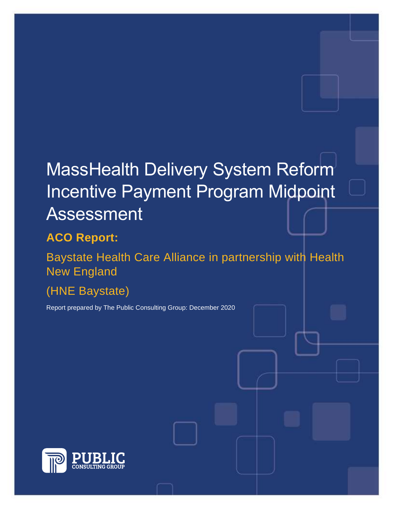# MassHealth Delivery System Reform Incentive Payment Program Midpoint Assessment

## **ACO Report:**

Baystate Health Care Alliance in partnership with Health New England

(HNE Baystate)

Report prepared by The Public Consulting Group: December 2020

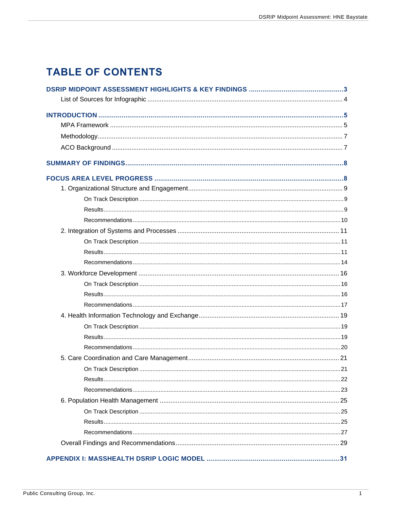## **TABLE OF CONTENTS**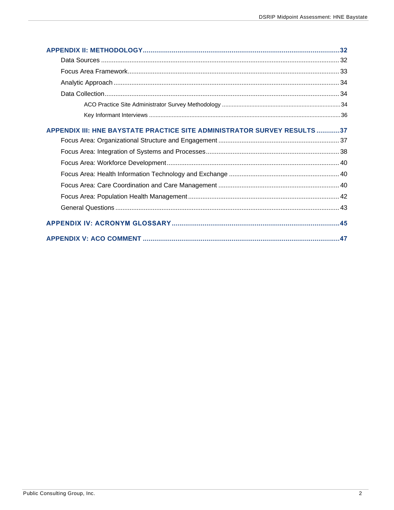| APPENDIX III: HNE BAYSTATE PRACTICE SITE ADMINISTRATOR SURVEY RESULTS37 |  |
|-------------------------------------------------------------------------|--|
|                                                                         |  |
|                                                                         |  |
|                                                                         |  |
|                                                                         |  |
|                                                                         |  |
|                                                                         |  |
|                                                                         |  |
|                                                                         |  |
|                                                                         |  |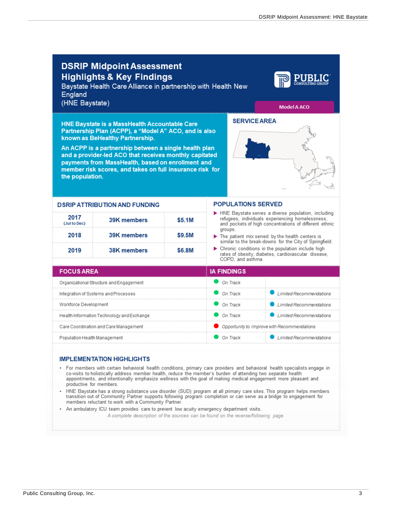<span id="page-3-0"></span>

| England<br>(HNE Baystate)                                                                                                                                                                                                                                                                                                                                                                                                      | Model A ACO                                 |  |
|--------------------------------------------------------------------------------------------------------------------------------------------------------------------------------------------------------------------------------------------------------------------------------------------------------------------------------------------------------------------------------------------------------------------------------|---------------------------------------------|--|
| <b>SERVICE AREA</b><br><b>HNE Baystate is a MassHealth Accountable Care</b><br>Partnership Plan (ACPP), a "Model A" ACO, and is also<br>known as BeHealthy Partnership.<br>An ACPP is a partnership between a single health plan<br>and a provider-led ACO that receives monthly capitated<br>payments from MassHealth, based on enrollment and<br>member risk scores, and takes on full insurance risk for<br>the population. |                                             |  |
| <b>POPULATIONS SERVED</b><br><b>DSRIP ATTRIBUTION AND FUNDING</b>                                                                                                                                                                                                                                                                                                                                                              |                                             |  |
| HNE Baystate serves a diverse population, including<br>2017<br>refugees, individuals experiencing homelessness,<br>39K members<br>\$5.1M<br>(Jul to Dec)<br>and pockets of high concentrations of different ethnic                                                                                                                                                                                                             |                                             |  |
| groups.<br>2018<br>\$9.5M<br>39K members<br>$\blacktriangleright$ The patient mix served by the health centers is<br>similar to the break-downs for the City of Springfield.                                                                                                                                                                                                                                                   |                                             |  |
| > Chronic conditions in the population include high<br>2019<br><b>38K members</b><br>\$6.8M<br>rates of obesity, diabetes, cardiovascular disease,<br>COPD, and asthma.                                                                                                                                                                                                                                                        |                                             |  |
| <b>FOCUS AREA</b><br><b>IA FINDINGS</b>                                                                                                                                                                                                                                                                                                                                                                                        |                                             |  |
| On Track<br>Organizational Structure and Engagement                                                                                                                                                                                                                                                                                                                                                                            |                                             |  |
| On Track<br>Integration of Systems and Processes                                                                                                                                                                                                                                                                                                                                                                               | <b>Limited Recommendations</b><br>.         |  |
| On Track<br>Workforce Development                                                                                                                                                                                                                                                                                                                                                                                              | Limited Recommendations                     |  |
| On Track<br>Health Information Technology and Exchange                                                                                                                                                                                                                                                                                                                                                                         | Limited Recommendations                     |  |
| Care Coordination and Care Management                                                                                                                                                                                                                                                                                                                                                                                          | Opportunity to Improve with Recommendations |  |
| Population Health Management<br>On Track                                                                                                                                                                                                                                                                                                                                                                                       | Limited Recommendations                     |  |

#### **IMPLEMENTATION HIGHLIGHTS**

- For members with certain behavioral health conditions, primary care providers and behavioral health specialists engage in<br>co-visits to holistically address member health, reduce the member's burden of attending two separ productive for members.
- HNE Baystate has a strong substance use disorder (SUD) program at all primary care sites. This program helps members transition out of Community Partner supports following program completion or can serve as a bridge to engagement for members reluctant to work with a Community Partner.
- An ambulatory ICU team provides care to prevent low acuity emergency department visits.

A complete description of the sources can be found on the reverse/following page.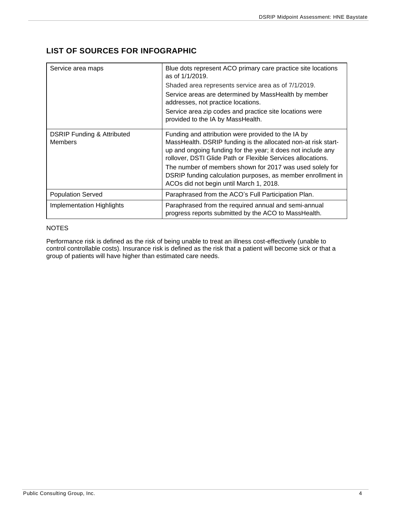## <span id="page-4-0"></span>**LIST OF SOURCES FOR INFOGRAPHIC**

| Service area maps                                       | Blue dots represent ACO primary care practice site locations<br>as of $1/1/2019$ .                                                                                                                                                                 |
|---------------------------------------------------------|----------------------------------------------------------------------------------------------------------------------------------------------------------------------------------------------------------------------------------------------------|
|                                                         | Shaded area represents service area as of 7/1/2019.                                                                                                                                                                                                |
|                                                         | Service areas are determined by MassHealth by member<br>addresses, not practice locations.                                                                                                                                                         |
|                                                         | Service area zip codes and practice site locations were<br>provided to the IA by MassHealth.                                                                                                                                                       |
| <b>DSRIP Funding &amp; Attributed</b><br><b>Members</b> | Funding and attribution were provided to the IA by<br>MassHealth. DSRIP funding is the allocated non-at risk start-<br>up and ongoing funding for the year; it does not include any<br>rollover, DSTI Glide Path or Flexible Services allocations. |
|                                                         | The number of members shown for 2017 was used solely for<br>DSRIP funding calculation purposes, as member enrollment in<br>ACOs did not begin until March 1, 2018.                                                                                 |
| <b>Population Served</b>                                | Paraphrased from the ACO's Full Participation Plan.                                                                                                                                                                                                |
| <b>Implementation Highlights</b>                        | Paraphrased from the required annual and semi-annual<br>progress reports submitted by the ACO to MassHealth.                                                                                                                                       |

#### NOTES

Performance risk is defined as the risk of being unable to treat an illness cost-effectively (unable to control controllable costs). Insurance risk is defined as the risk that a patient will become sick or that a group of patients will have higher than estimated care needs.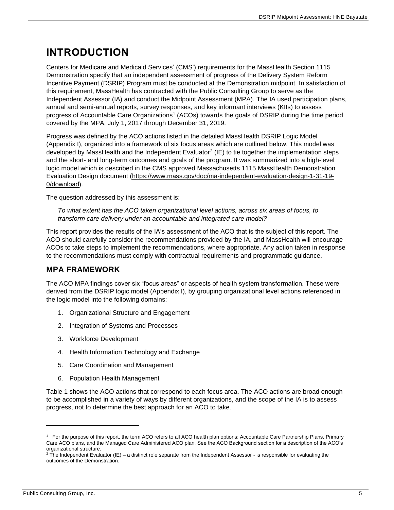## <span id="page-5-0"></span>**INTRODUCTION**

Centers for Medicare and Medicaid Services' (CMS') requirements for the MassHealth Section 1115 Demonstration specify that an independent assessment of progress of the Delivery System Reform Incentive Payment (DSRIP) Program must be conducted at the Demonstration midpoint. In satisfaction of this requirement, MassHealth has contracted with the Public Consulting Group to serve as the Independent Assessor (IA) and conduct the Midpoint Assessment (MPA). The IA used participation plans, annual and semi-annual reports, survey responses, and key informant interviews (KIIs) to assess progress of Accountable Care Organizations<sup>1</sup> (ACOs) towards the goals of DSRIP during the time period covered by the MPA, July 1, 2017 through December 31, 2019.

Progress was defined by the ACO actions listed in the detailed MassHealth DSRIP Logic Model (Appendix I), organized into a framework of six focus areas which are outlined below. This model was developed by MassHealth and the Independent Evaluator<sup>2</sup> (IE) to tie together the implementation steps and the short- and long-term outcomes and goals of the program. It was summarized into a high-level logic model which is described in the CMS approved Massachusetts 1115 MassHealth Demonstration Evaluation Design document [\(https://www.mass.gov/doc/ma-independent-evaluation-design-1-31-19-](https://www.mass.gov/doc/ma-independent-evaluation-design-1-31-19-0/download) [0/download\)](https://www.mass.gov/doc/ma-independent-evaluation-design-1-31-19-0/download).

The question addressed by this assessment is:

*To what extent has the ACO taken organizational level actions, across six areas of focus, to transform care delivery under an accountable and integrated care model?*

This report provides the results of the IA's assessment of the ACO that is the subject of this report. The ACO should carefully consider the recommendations provided by the IA, and MassHealth will encourage ACOs to take steps to implement the recommendations, where appropriate. Any action taken in response to the recommendations must comply with contractual requirements and programmatic guidance.

### <span id="page-5-1"></span>**MPA FRAMEWORK**

The ACO MPA findings cover six "focus areas" or aspects of health system transformation. These were derived from the DSRIP logic model (Appendix I), by grouping organizational level actions referenced in the logic model into the following domains:

- 1. Organizational Structure and Engagement
- 2. Integration of Systems and Processes
- 3. Workforce Development
- 4. Health Information Technology and Exchange
- 5. Care Coordination and Management
- 6. Population Health Management

Table 1 shows the ACO actions that correspond to each focus area. The ACO actions are broad enough to be accomplished in a variety of ways by different organizations, and the scope of the IA is to assess progress, not to determine the best approach for an ACO to take.

<sup>1</sup> For the purpose of this report, the term ACO refers to all ACO health plan options: Accountable Care Partnership Plans, Primary Care ACO plans, and the Managed Care Administered ACO plan. See the ACO Background section for a description of the ACO's organizational structure.

 $2$  The Independent Evaluator (IE) – a distinct role separate from the Independent Assessor - is responsible for evaluating the outcomes of the Demonstration.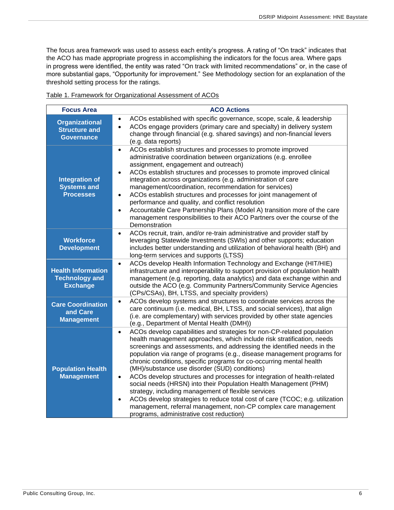The focus area framework was used to assess each entity's progress. A rating of "On track" indicates that the ACO has made appropriate progress in accomplishing the indicators for the focus area. Where gaps in progress were identified, the entity was rated "On track with limited recommendations" or, in the case of more substantial gaps, "Opportunity for improvement." See Methodology section for an explanation of the threshold setting process for the ratings.

| <b>Focus Area</b>                                                     | <b>ACO Actions</b>                                                                                                                                                                                                                                                                                                                                                                                                                                                                                                                                                                                                                                                                                                                                                                                                                                             |
|-----------------------------------------------------------------------|----------------------------------------------------------------------------------------------------------------------------------------------------------------------------------------------------------------------------------------------------------------------------------------------------------------------------------------------------------------------------------------------------------------------------------------------------------------------------------------------------------------------------------------------------------------------------------------------------------------------------------------------------------------------------------------------------------------------------------------------------------------------------------------------------------------------------------------------------------------|
| <b>Organizational</b><br><b>Structure and</b><br><b>Governance</b>    | ACOs established with specific governance, scope, scale, & leadership<br>ACOs engage providers (primary care and specialty) in delivery system<br>change through financial (e.g. shared savings) and non-financial levers<br>(e.g. data reports)                                                                                                                                                                                                                                                                                                                                                                                                                                                                                                                                                                                                               |
| <b>Integration of</b><br><b>Systems and</b><br><b>Processes</b>       | ACOs establish structures and processes to promote improved<br>$\bullet$<br>administrative coordination between organizations (e.g. enrollee<br>assignment, engagement and outreach)<br>ACOs establish structures and processes to promote improved clinical<br>integration across organizations (e.g. administration of care<br>management/coordination, recommendation for services)<br>ACOs establish structures and processes for joint management of<br>$\bullet$<br>performance and quality, and conflict resolution<br>Accountable Care Partnership Plans (Model A) transition more of the care<br>$\bullet$<br>management responsibilities to their ACO Partners over the course of the<br>Demonstration                                                                                                                                               |
| <b>Workforce</b><br><b>Development</b>                                | ACOs recruit, train, and/or re-train administrative and provider staff by<br>$\bullet$<br>leveraging Statewide Investments (SWIs) and other supports; education<br>includes better understanding and utilization of behavioral health (BH) and<br>long-term services and supports (LTSS)                                                                                                                                                                                                                                                                                                                                                                                                                                                                                                                                                                       |
| <b>Health Information</b><br><b>Technology and</b><br><b>Exchange</b> | ACOs develop Health Information Technology and Exchange (HIT/HIE)<br>$\bullet$<br>infrastructure and interoperability to support provision of population health<br>management (e.g. reporting, data analytics) and data exchange within and<br>outside the ACO (e.g. Community Partners/Community Service Agencies<br>(CPs/CSAs), BH, LTSS, and specialty providers)                                                                                                                                                                                                                                                                                                                                                                                                                                                                                           |
| <b>Care Coordination</b><br>and Care<br><b>Management</b>             | ACOs develop systems and structures to coordinate services across the<br>$\bullet$<br>care continuum (i.e. medical, BH, LTSS, and social services), that align<br>(i.e. are complementary) with services provided by other state agencies<br>(e.g., Department of Mental Health (DMH))                                                                                                                                                                                                                                                                                                                                                                                                                                                                                                                                                                         |
| <b>Population Health</b><br><b>Management</b>                         | ACOs develop capabilities and strategies for non-CP-related population<br>$\bullet$<br>health management approaches, which include risk stratification, needs<br>screenings and assessments, and addressing the identified needs in the<br>population via range of programs (e.g., disease management programs for<br>chronic conditions, specific programs for co-occurring mental health<br>(MH)/substance use disorder (SUD) conditions)<br>ACOs develop structures and processes for integration of health-related<br>$\bullet$<br>social needs (HRSN) into their Population Health Management (PHM)<br>strategy, including management of flexible services<br>ACOs develop strategies to reduce total cost of care (TCOC; e.g. utilization<br>management, referral management, non-CP complex care management<br>programs, administrative cost reduction) |

Table 1. Framework for Organizational Assessment of ACOs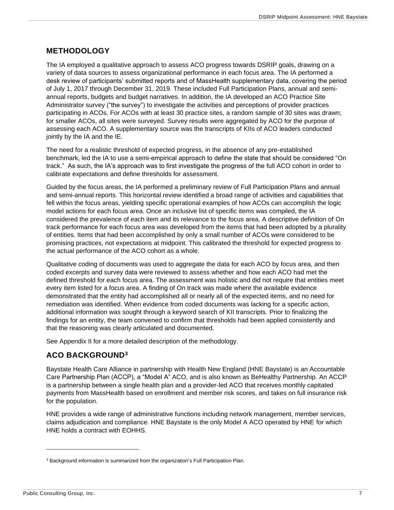## <span id="page-7-0"></span>**METHODOLOGY**

The IA employed a qualitative approach to assess ACO progress towards DSRIP goals, drawing on a variety of data sources to assess organizational performance in each focus area. The IA performed a desk review of participants' submitted reports and of MassHealth supplementary data, covering the period of July 1, 2017 through December 31, 2019. These included Full Participation Plans, annual and semiannual reports, budgets and budget narratives. In addition, the IA developed an ACO Practice Site Administrator survey ("the survey") to investigate the activities and perceptions of provider practices participating in ACOs. For ACOs with at least 30 practice sites, a random sample of 30 sites was drawn; for smaller ACOs, all sites were surveyed. Survey results were aggregated by ACO for the purpose of assessing each ACO. A supplementary source was the transcripts of KIIs of ACO leaders conducted jointly by the IA and the IE.

The need for a realistic threshold of expected progress, in the absence of any pre-established benchmark, led the IA to use a semi-empirical approach to define the state that should be considered "On track." As such, the IA's approach was to first investigate the progress of the full ACO cohort in order to calibrate expectations and define thresholds for assessment.

Guided by the focus areas, the IA performed a preliminary review of Full Participation Plans and annual and semi-annual reports. This horizontal review identified a broad range of activities and capabilities that fell within the focus areas, yielding specific operational examples of how ACOs can accomplish the logic model actions for each focus area. Once an inclusive list of specific items was compiled, the IA considered the prevalence of each item and its relevance to the focus area. A descriptive definition of On track performance for each focus area was developed from the items that had been adopted by a plurality of entities. Items that had been accomplished by only a small number of ACOs were considered to be promising practices, not expectations at midpoint. This calibrated the threshold for expected progress to the actual performance of the ACO cohort as a whole.

Qualitative coding of documents was used to aggregate the data for each ACO by focus area, and then coded excerpts and survey data were reviewed to assess whether and how each ACO had met the defined threshold for each focus area. The assessment was holistic and did not require that entities meet every item listed for a focus area. A finding of On track was made where the available evidence demonstrated that the entity had accomplished all or nearly all of the expected items, and no need for remediation was identified. When evidence from coded documents was lacking for a specific action, additional information was sought through a keyword search of KII transcripts. Prior to finalizing the findings for an entity, the team convened to confirm that thresholds had been applied consistently and that the reasoning was clearly articulated and documented.

See Appendix II for a more detailed description of the methodology.

## <span id="page-7-1"></span>**ACO BACKGROUND<sup>3</sup>**

Baystate Health Care Alliance in partnership with Health New England (HNE Baystate) is an Accountable Care Partnership Plan (ACCP), a "Model A" ACO, and is also known as BeHealthy Partnership. An ACCP is a partnership between a single health plan and a provider-led ACO that receives monthly capitated payments from MassHealth based on enrollment and member risk scores, and takes on full insurance risk for the population.

HNE provides a wide range of administrative functions including network management, member services, claims adjudication and compliance. HNE Baystate is the only Model A ACO operated by HNE for which HNE holds a contract with EOHHS.

<sup>&</sup>lt;sup>3</sup> Background information is summarized from the organization's Full Participation Plan.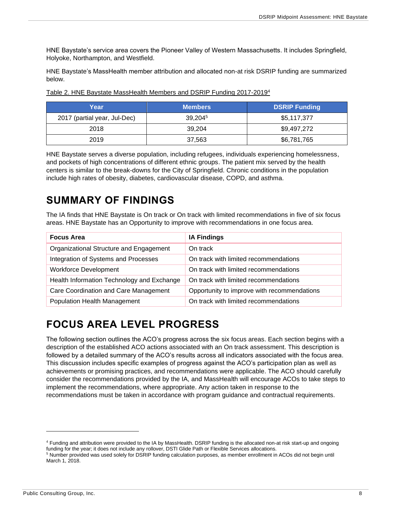HNE Baystate's service area covers the Pioneer Valley of Western Massachusetts. It includes Springfield, Holyoke, Northampton, and Westfield.

HNE Baystate's MassHealth member attribution and allocated non-at risk DSRIP funding are summarized below.

| Yearı                        | <b>Members</b> | <b>DSRIP Funding</b> |
|------------------------------|----------------|----------------------|
| 2017 (partial year, Jul-Dec) | 39,2045        | \$5,117,377          |
| 2018                         | 39.204         | \$9,497,272          |
| 2019                         | 37,563         | \$6,781,765          |

Table 2. HNE Baystate MassHealth Members and DSRIP Funding 2017-2019<sup>4</sup>

HNE Baystate serves a diverse population, including refugees, individuals experiencing homelessness, and pockets of high concentrations of different ethnic groups. The patient mix served by the health centers is similar to the break-downs for the City of Springfield. Chronic conditions in the population include high rates of obesity, diabetes, cardiovascular disease, COPD, and asthma.

## <span id="page-8-0"></span>**SUMMARY OF FINDINGS**

The IA finds that HNE Baystate is On track or On track with limited recommendations in five of six focus areas. HNE Baystate has an Opportunity to improve with recommendations in one focus area.

| <b>Focus Area</b>                          | <b>IA Findings</b>                          |
|--------------------------------------------|---------------------------------------------|
| Organizational Structure and Engagement    | On track                                    |
| Integration of Systems and Processes       | On track with limited recommendations       |
| <b>Workforce Development</b>               | On track with limited recommendations       |
| Health Information Technology and Exchange | On track with limited recommendations       |
| Care Coordination and Care Management      | Opportunity to improve with recommendations |
| <b>Population Health Management</b>        | On track with limited recommendations       |

## <span id="page-8-1"></span>**FOCUS AREA LEVEL PROGRESS**

The following section outlines the ACO's progress across the six focus areas. Each section begins with a description of the established ACO actions associated with an On track assessment. This description is followed by a detailed summary of the ACO's results across all indicators associated with the focus area. This discussion includes specific examples of progress against the ACO's participation plan as well as achievements or promising practices, and recommendations were applicable. The ACO should carefully consider the recommendations provided by the IA, and MassHealth will encourage ACOs to take steps to implement the recommendations, where appropriate. Any action taken in response to the recommendations must be taken in accordance with program guidance and contractual requirements.

<sup>4</sup> Funding and attribution were provided to the IA by MassHealth. DSRIP funding is the allocated non-at risk start-up and ongoing funding for the year; it does not include any rollover, DSTI Glide Path or Flexible Services allocations.

<sup>5</sup> Number provided was used solely for DSRIP funding calculation purposes, as member enrollment in ACOs did not begin until March 1, 2018.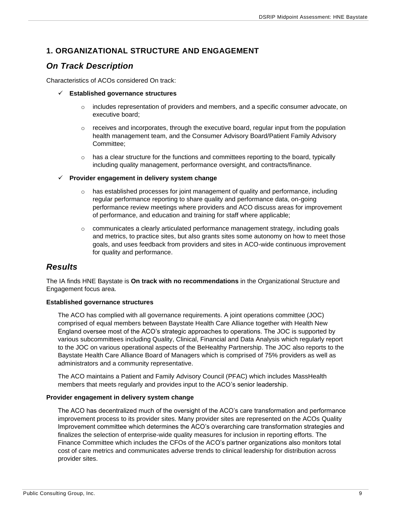## <span id="page-9-0"></span>**1. ORGANIZATIONAL STRUCTURE AND ENGAGEMENT**

## <span id="page-9-1"></span>*On Track Description*

Characteristics of ACOs considered On track:

- ✓ **Established governance structures**
	- $\circ$  includes representation of providers and members, and a specific consumer advocate, on executive board;
	- $\circ$  receives and incorporates, through the executive board, regular input from the population health management team, and the Consumer Advisory Board/Patient Family Advisory Committee;
	- $\circ$  has a clear structure for the functions and committees reporting to the board, typically including quality management, performance oversight, and contracts/finance.
- ✓ **Provider engagement in delivery system change**
	- $\circ$  has established processes for joint management of quality and performance, including regular performance reporting to share quality and performance data, on-going performance review meetings where providers and ACO discuss areas for improvement of performance, and education and training for staff where applicable;
	- $\circ$  communicates a clearly articulated performance management strategy, including goals and metrics, to practice sites, but also grants sites some autonomy on how to meet those goals, and uses feedback from providers and sites in ACO-wide continuous improvement for quality and performance.

## <span id="page-9-2"></span>*Results*

The IA finds HNE Baystate is **On track with no recommendations** in the Organizational Structure and Engagement focus area.

#### **Established governance structures**

The ACO has complied with all governance requirements. A joint operations committee (JOC) comprised of equal members between Baystate Health Care Alliance together with Health New England oversee most of the ACO's strategic approaches to operations. The JOC is supported by various subcommittees including Quality, Clinical, Financial and Data Analysis which regularly report to the JOC on various operational aspects of the BeHealthy Partnership. The JOC also reports to the Baystate Health Care Alliance Board of Managers which is comprised of 75% providers as well as administrators and a community representative.

The ACO maintains a Patient and Family Advisory Council (PFAC) which includes MassHealth members that meets regularly and provides input to the ACO's senior leadership.

#### **Provider engagement in delivery system change**

The ACO has decentralized much of the oversight of the ACO's care transformation and performance improvement process to its provider sites. Many provider sites are represented on the ACOs Quality Improvement committee which determines the ACO's overarching care transformation strategies and finalizes the selection of enterprise-wide quality measures for inclusion in reporting efforts. The Finance Committee which includes the CFOs of the ACO's partner organizations also monitors total cost of care metrics and communicates adverse trends to clinical leadership for distribution across provider sites.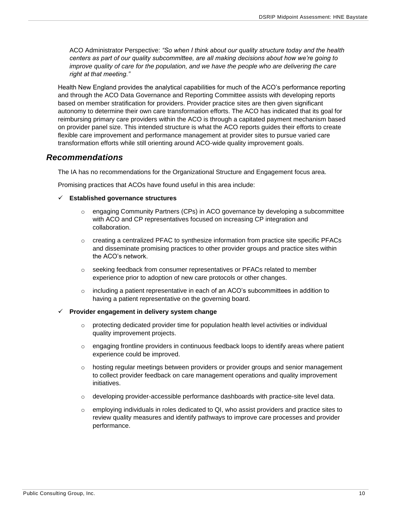ACO Administrator Perspective: *"So when I think about our quality structure today and the health centers as part of our quality subcommittee, are all making decisions about how we're going to improve quality of care for the population, and we have the people who are delivering the care right at that meeting."*

Health New England provides the analytical capabilities for much of the ACO's performance reporting and through the ACO Data Governance and Reporting Committee assists with developing reports based on member stratification for providers. Provider practice sites are then given significant autonomy to determine their own care transformation efforts. The ACO has indicated that its goal for reimbursing primary care providers within the ACO is through a capitated payment mechanism based on provider panel size. This intended structure is what the ACO reports guides their efforts to create flexible care improvement and performance management at provider sites to pursue varied care transformation efforts while still orienting around ACO-wide quality improvement goals.

#### <span id="page-10-0"></span>*Recommendations*

The IA has no recommendations for the Organizational Structure and Engagement focus area.

Promising practices that ACOs have found useful in this area include:

#### ✓ **Established governance structures**

- $\circ$  engaging Community Partners (CPs) in ACO governance by developing a subcommittee with ACO and CP representatives focused on increasing CP integration and collaboration.
- o creating a centralized PFAC to synthesize information from practice site specific PFACs and disseminate promising practices to other provider groups and practice sites within the ACO's network.
- o seeking feedback from consumer representatives or PFACs related to member experience prior to adoption of new care protocols or other changes.
- $\circ$  including a patient representative in each of an ACO's subcommittees in addition to having a patient representative on the governing board.

#### ✓ **Provider engagement in delivery system change**

- o protecting dedicated provider time for population health level activities or individual quality improvement projects.
- $\circ$  engaging frontline providers in continuous feedback loops to identify areas where patient experience could be improved.
- $\circ$  hosting regular meetings between providers or provider groups and senior management to collect provider feedback on care management operations and quality improvement initiatives.
- $\circ$  developing provider-accessible performance dashboards with practice-site level data.
- $\circ$  employing individuals in roles dedicated to QI, who assist providers and practice sites to review quality measures and identify pathways to improve care processes and provider performance.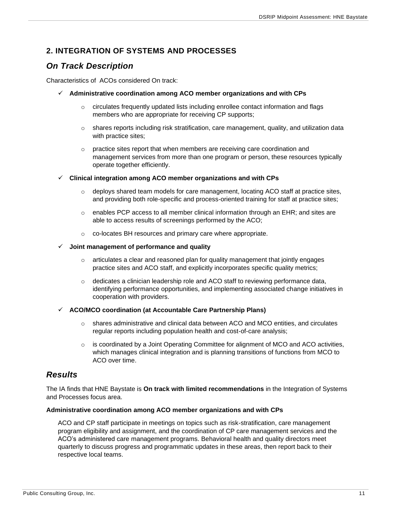## <span id="page-11-0"></span>**2. INTEGRATION OF SYSTEMS AND PROCESSES**

## <span id="page-11-1"></span>*On Track Description*

Characteristics of ACOs considered On track:

- ✓ **Administrative coordination among ACO member organizations and with CPs**
	- $\circ$  circulates frequently updated lists including enrollee contact information and flags members who are appropriate for receiving CP supports;
	- $\circ$  shares reports including risk stratification, care management, quality, and utilization data with practice sites;
	- o practice sites report that when members are receiving care coordination and management services from more than one program or person, these resources typically operate together efficiently.
- ✓ **Clinical integration among ACO member organizations and with CPs**
	- $\circ$  deploys shared team models for care management, locating ACO staff at practice sites, and providing both role-specific and process-oriented training for staff at practice sites;
	- $\circ$  enables PCP access to all member clinical information through an EHR; and sites are able to access results of screenings performed by the ACO;
	- o co-locates BH resources and primary care where appropriate.

#### ✓ **Joint management of performance and quality**

- $\circ$  articulates a clear and reasoned plan for quality management that jointly engages practice sites and ACO staff, and explicitly incorporates specific quality metrics;
- $\circ$  dedicates a clinician leadership role and ACO staff to reviewing performance data, identifying performance opportunities, and implementing associated change initiatives in cooperation with providers.

#### ✓ **ACO/MCO coordination (at Accountable Care Partnership Plans)**

- $\circ$  shares administrative and clinical data between ACO and MCO entities, and circulates regular reports including population health and cost-of-care analysis;
- $\circ$  is coordinated by a Joint Operating Committee for alignment of MCO and ACO activities, which manages clinical integration and is planning transitions of functions from MCO to ACO over time.

## <span id="page-11-2"></span>*Results*

The IA finds that HNE Baystate is **On track with limited recommendations** in the Integration of Systems and Processes focus area.

#### **Administrative coordination among ACO member organizations and with CPs**

ACO and CP staff participate in meetings on topics such as risk-stratification, care management program eligibility and assignment, and the coordination of CP care management services and the ACO's administered care management programs. Behavioral health and quality directors meet quarterly to discuss progress and programmatic updates in these areas, then report back to their respective local teams.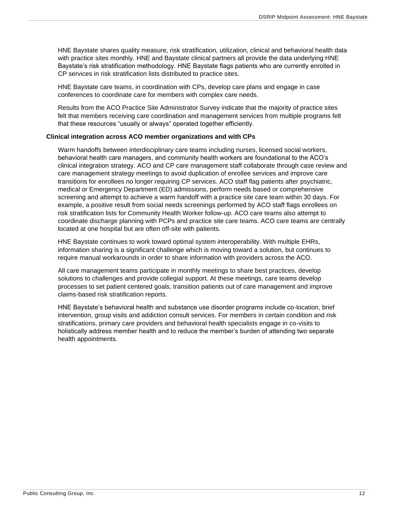HNE Baystate shares quality measure, risk stratification, utilization, clinical and behavioral health data with practice sites monthly. HNE and Baystate clinical partners all provide the data underlying HNE Baystate's risk stratification methodology. HNE Baystate flags patients who are currently enrolled in CP services in risk stratification lists distributed to practice sites.

HNE Baystate care teams, in coordination with CPs, develop care plans and engage in case conferences to coordinate care for members with complex care needs.

Results from the ACO Practice Site Administrator Survey indicate that the majority of practice sites felt that members receiving care coordination and management services from multiple programs felt that these resources "usually or always" operated together efficiently.

#### **Clinical integration across ACO member organizations and with CPs**

Warm handoffs between interdisciplinary care teams including nurses, licensed social workers, behavioral health care managers, and community health workers are foundational to the ACO's clinical integration strategy. ACO and CP care management staff collaborate through case review and care management strategy meetings to avoid duplication of enrollee services and improve care transitions for enrollees no longer requiring CP services. ACO staff flag patients after psychiatric, medical or Emergency Department (ED) admissions, perform needs based or comprehensive screening and attempt to achieve a warm handoff with a practice site care team within 30 days. For example, a positive result from social needs screenings performed by ACO staff flags enrollees on risk stratification lists for Community Health Worker follow-up. ACO care teams also attempt to coordinate discharge planning with PCPs and practice site care teams. ACO care teams are centrally located at one hospital but are often off-site with patients.

HNE Baystate continues to work toward optimal system interoperability. With multiple EHRs, information sharing is a significant challenge which is moving toward a solution, but continues to require manual workarounds in order to share information with providers across the ACO.

All care management teams participate in monthly meetings to share best practices, develop solutions to challenges and provide collegial support. At these meetings, care teams develop processes to set patient centered goals, transition patients out of care management and improve claims-based risk stratification reports.

HNE Baystate's behavioral health and substance use disorder programs include co-location, brief intervention, group visits and addiction consult services. For members in certain condition and risk stratifications, primary care providers and behavioral health specialists engage in co-visits to holistically address member health and to reduce the member's burden of attending two separate health appointments.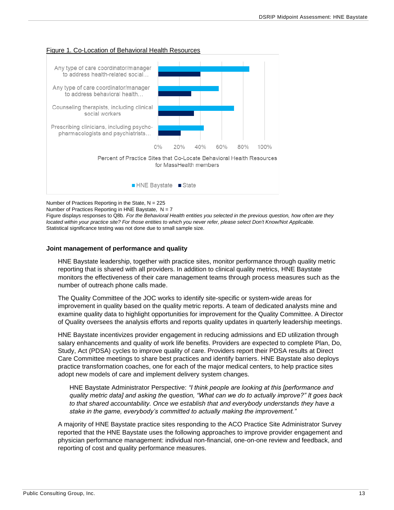

#### Figure 1. Co-Location of Behavioral Health Resources

Number of Practices Reporting in the State,  $N = 225$ 

Number of Practices Reporting in HNE Baystate,  $N = 7$ 

Figure displays responses to Q8b. *For the Behavioral Health entities you selected in the previous question, how often are they located within your practice site? For those entities to which you never refer, please select Don't Know/Not Applicable.* Statistical significance testing was not done due to small sample size.

#### **Joint management of performance and quality**

HNE Baystate leadership, together with practice sites, monitor performance through quality metric reporting that is shared with all providers. In addition to clinical quality metrics, HNE Baystate monitors the effectiveness of their care management teams through process measures such as the number of outreach phone calls made.

The Quality Committee of the JOC works to identify site-specific or system-wide areas for improvement in quality based on the quality metric reports. A team of dedicated analysts mine and examine quality data to highlight opportunities for improvement for the Quality Committee. A Director of Quality oversees the analysis efforts and reports quality updates in quarterly leadership meetings.

HNE Baystate incentivizes provider engagement in reducing admissions and ED utilization through salary enhancements and quality of work life benefits. Providers are expected to complete Plan, Do, Study, Act (PDSA) cycles to improve quality of care. Providers report their PDSA results at Direct Care Committee meetings to share best practices and identify barriers. HNE Baystate also deploys practice transformation coaches, one for each of the major medical centers, to help practice sites adopt new models of care and implement delivery system changes.

HNE Baystate Administrator Perspective: *"I think people are looking at this [performance and quality metric data] and asking the question, "What can we do to actually improve?" It goes back to that shared accountability. Once we establish that and everybody understands they have a stake in the game, everybody's committed to actually making the improvement."*

A majority of HNE Baystate practice sites responding to the ACO Practice Site Administrator Survey reported that the HNE Baystate uses the following approaches to improve provider engagement and physician performance management: individual non-financial, one-on-one review and feedback, and reporting of cost and quality performance measures.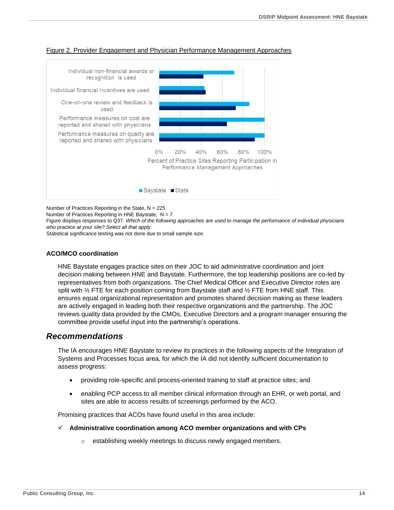

#### Figure 2. Provider Engagement and Physician Performance Management Approaches

Number of Practices Reporting in the State,  $N = 225$ 

Number of Practices Reporting in HNE Baystate,  $N = 7$ 

Figure displays responses to Q37. *Which of the following approaches are used to manage the performance of individual physicians who practice at your site? Select all that apply.*

Statistical significance testing was not done due to small sample size.

#### **ACO/MCO coordination**

HNE Baystate engages practice sites on their JOC to aid administrative coordination and joint decision making between HNE and Baystate. Furthermore, the top leadership positions are co-led by representatives from both organizations. The Chief Medical Officer and Executive Director roles are split with  $\frac{1}{2}$  FTE for each position coming from Baystate staff and  $\frac{1}{2}$  FTE from HNE staff. This ensures equal organizational representation and promotes shared decision making as these leaders are actively engaged in leading both their respective organizations and the partnership. The JOC reviews quality data provided by the CMOs, Executive Directors and a program manager ensuring the committee provide useful input into the partnership's operations.

### <span id="page-14-0"></span>*Recommendations*

The IA encourages HNE Baystate to review its practices in the following aspects of the Integration of Systems and Processes focus area, for which the IA did not identify sufficient documentation to assess progress:

- providing role-specific and process-oriented training to staff at practice sites; and
- enabling PCP access to all member clinical information through an EHR, or web portal, and sites are able to access results of screenings performed by the ACO.

Promising practices that ACOs have found useful in this area include:

- ✓ **Administrative coordination among ACO member organizations and with CPs**
	- o establishing weekly meetings to discuss newly engaged members.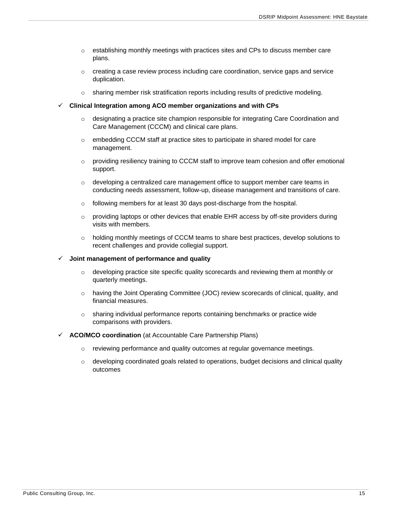- $\circ$  establishing monthly meetings with practices sites and CPs to discuss member care plans.
- $\circ$  creating a case review process including care coordination, service gaps and service duplication.
- o sharing member risk stratification reports including results of predictive modeling.
- ✓ **Clinical Integration among ACO member organizations and with CPs**
	- $\circ$  designating a practice site champion responsible for integrating Care Coordination and Care Management (CCCM) and clinical care plans.
	- $\circ$  embedding CCCM staff at practice sites to participate in shared model for care management.
	- $\circ$  providing resiliency training to CCCM staff to improve team cohesion and offer emotional support.
	- $\circ$  developing a centralized care management office to support member care teams in conducting needs assessment, follow-up, disease management and transitions of care.
	- o following members for at least 30 days post-discharge from the hospital.
	- $\circ$  providing laptops or other devices that enable EHR access by off-site providers during visits with members.
	- o holding monthly meetings of CCCM teams to share best practices, develop solutions to recent challenges and provide collegial support.

#### ✓ **Joint management of performance and quality**

- $\circ$  developing practice site specific quality scorecards and reviewing them at monthly or quarterly meetings.
- o having the Joint Operating Committee (JOC) review scorecards of clinical, quality, and financial measures.
- $\circ$  sharing individual performance reports containing benchmarks or practice wide comparisons with providers.
- **ACO/MCO coordination** (at Accountable Care Partnership Plans)
	- $\circ$  reviewing performance and quality outcomes at regular governance meetings.
	- $\circ$  developing coordinated goals related to operations, budget decisions and clinical quality outcomes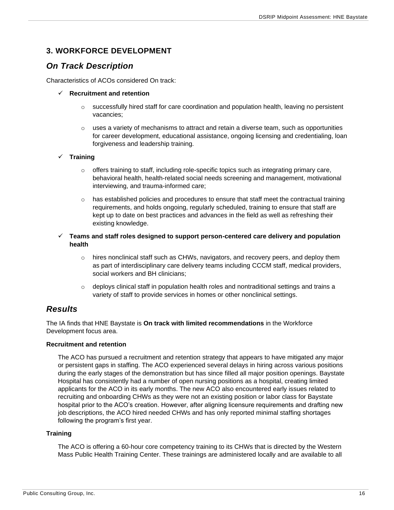## <span id="page-16-0"></span>**3. WORKFORCE DEVELOPMENT**

## <span id="page-16-1"></span>*On Track Description*

Characteristics of ACOs considered On track:

#### ✓ **Recruitment and retention**

- $\circ$  successfully hired staff for care coordination and population health, leaving no persistent vacancies;
- $\circ$  uses a variety of mechanisms to attract and retain a diverse team, such as opportunities for career development, educational assistance, ongoing licensing and credentialing, loan forgiveness and leadership training.

#### ✓ **Training**

- o offers training to staff, including role-specific topics such as integrating primary care, behavioral health, health-related social needs screening and management, motivational interviewing, and trauma-informed care;
- $\circ$  has established policies and procedures to ensure that staff meet the contractual training requirements, and holds ongoing, regularly scheduled, training to ensure that staff are kept up to date on best practices and advances in the field as well as refreshing their existing knowledge.

#### ✓ **Teams and staff roles designed to support person-centered care delivery and population health**

- $\circ$  hires nonclinical staff such as CHWs, navigators, and recovery peers, and deploy them as part of interdisciplinary care delivery teams including CCCM staff, medical providers, social workers and BH clinicians;
- $\circ$  deploys clinical staff in population health roles and nontraditional settings and trains a variety of staff to provide services in homes or other nonclinical settings.

### <span id="page-16-2"></span>*Results*

The IA finds that HNE Baystate is **On track with limited recommendations** in the Workforce Development focus area.

#### **Recruitment and retention**

The ACO has pursued a recruitment and retention strategy that appears to have mitigated any major or persistent gaps in staffing. The ACO experienced several delays in hiring across various positions during the early stages of the demonstration but has since filled all major position openings. Baystate Hospital has consistently had a number of open nursing positions as a hospital, creating limited applicants for the ACO in its early months. The new ACO also encountered early issues related to recruiting and onboarding CHWs as they were not an existing position or labor class for Baystate hospital prior to the ACO's creation. However, after aligning licensure requirements and drafting new job descriptions, the ACO hired needed CHWs and has only reported minimal staffing shortages following the program's first year.

#### **Training**

The ACO is offering a 60-hour core competency training to its CHWs that is directed by the Western Mass Public Health Training Center. These trainings are administered locally and are available to all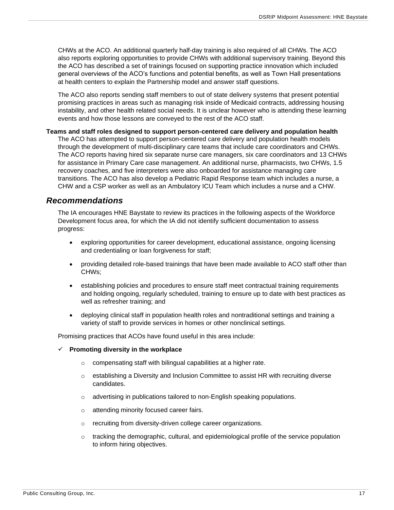CHWs at the ACO. An additional quarterly half-day training is also required of all CHWs. The ACO also reports exploring opportunities to provide CHWs with additional supervisory training. Beyond this the ACO has described a set of trainings focused on supporting practice innovation which included general overviews of the ACO's functions and potential benefits, as well as Town Hall presentations at health centers to explain the Partnership model and answer staff questions.

The ACO also reports sending staff members to out of state delivery systems that present potential promising practices in areas such as managing risk inside of Medicaid contracts, addressing housing instability, and other health related social needs. It is unclear however who is attending these learning events and how those lessons are conveyed to the rest of the ACO staff.

**Teams and staff roles designed to support person-centered care delivery and population health** The ACO has attempted to support person-centered care delivery and population health models through the development of multi-disciplinary care teams that include care coordinators and CHWs. The ACO reports having hired six separate nurse care managers, six care coordinators and 13 CHWs for assistance in Primary Care case management. An additional nurse, pharmacists, two CHWs, 1.5 recovery coaches, and five interpreters were also onboarded for assistance managing care transitions. The ACO has also develop a Pediatric Rapid Response team which includes a nurse, a CHW and a CSP worker as well as an Ambulatory ICU Team which includes a nurse and a CHW.

### <span id="page-17-0"></span>*Recommendations*

The IA encourages HNE Baystate to review its practices in the following aspects of the Workforce Development focus area, for which the IA did not identify sufficient documentation to assess progress:

- exploring opportunities for career development, educational assistance, ongoing licensing and credentialing or loan forgiveness for staff;
- providing detailed role-based trainings that have been made available to ACO staff other than CHWs;
- establishing policies and procedures to ensure staff meet contractual training requirements and holding ongoing, regularly scheduled, training to ensure up to date with best practices as well as refresher training; and
- deploying clinical staff in population health roles and nontraditional settings and training a variety of staff to provide services in homes or other nonclinical settings.

Promising practices that ACOs have found useful in this area include:

- ✓ **Promoting diversity in the workplace**
	- o compensating staff with bilingual capabilities at a higher rate.
	- $\circ$  establishing a Diversity and Inclusion Committee to assist HR with recruiting diverse candidates.
	- o advertising in publications tailored to non-English speaking populations.
	- o attending minority focused career fairs.
	- o recruiting from diversity-driven college career organizations.
	- $\circ$  tracking the demographic, cultural, and epidemiological profile of the service population to inform hiring objectives.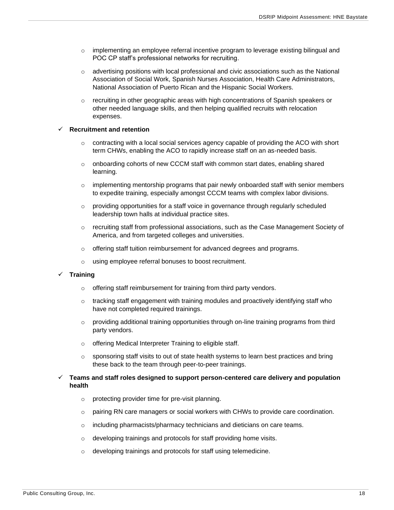- $\circ$  implementing an employee referral incentive program to leverage existing bilingual and POC CP staff's professional networks for recruiting.
- $\circ$  advertising positions with local professional and civic associations such as the National Association of Social Work, Spanish Nurses Association, Health Care Administrators, National Association of Puerto Rican and the Hispanic Social Workers.
- $\circ$  recruiting in other geographic areas with high concentrations of Spanish speakers or other needed language skills, and then helping qualified recruits with relocation expenses.

#### ✓ **Recruitment and retention**

- $\circ$  contracting with a local social services agency capable of providing the ACO with short term CHWs, enabling the ACO to rapidly increase staff on an as-needed basis.
- $\circ$  onboarding cohorts of new CCCM staff with common start dates, enabling shared learning.
- $\circ$  implementing mentorship programs that pair newly onboarded staff with senior members to expedite training, especially amongst CCCM teams with complex labor divisions.
- $\circ$  providing opportunities for a staff voice in governance through regularly scheduled leadership town halls at individual practice sites.
- $\circ$  recruiting staff from professional associations, such as the Case Management Society of America, and from targeted colleges and universities.
- o offering staff tuition reimbursement for advanced degrees and programs.
- o using employee referral bonuses to boost recruitment.

#### ✓ **Training**

- o offering staff reimbursement for training from third party vendors.
- $\circ$  tracking staff engagement with training modules and proactively identifying staff who have not completed required trainings.
- $\circ$  providing additional training opportunities through on-line training programs from third party vendors.
- o offering Medical Interpreter Training to eligible staff.
- $\circ$  sponsoring staff visits to out of state health systems to learn best practices and bring these back to the team through peer-to-peer trainings.

#### ✓ **Teams and staff roles designed to support person-centered care delivery and population health**

- o protecting provider time for pre-visit planning.
- $\circ$  pairing RN care managers or social workers with CHWs to provide care coordination.
- o including pharmacists/pharmacy technicians and dieticians on care teams.
- o developing trainings and protocols for staff providing home visits.
- o developing trainings and protocols for staff using telemedicine.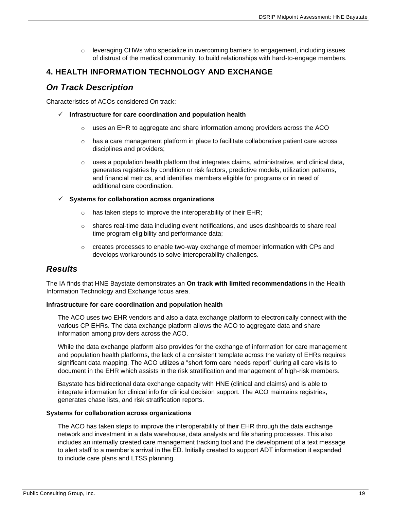$\circ$  leveraging CHWs who specialize in overcoming barriers to engagement, including issues of distrust of the medical community, to build relationships with hard-to-engage members.

### <span id="page-19-0"></span>**4. HEALTH INFORMATION TECHNOLOGY AND EXCHANGE**

## <span id="page-19-1"></span>*On Track Description*

Characteristics of ACOs considered On track:

- ✓ **Infrastructure for care coordination and population health**
	- $\circ$  uses an EHR to aggregate and share information among providers across the ACO
	- $\circ$  has a care management platform in place to facilitate collaborative patient care across disciplines and providers;
	- $\circ$  uses a population health platform that integrates claims, administrative, and clinical data, generates registries by condition or risk factors, predictive models, utilization patterns, and financial metrics, and identifies members eligible for programs or in need of additional care coordination.

#### ✓ **Systems for collaboration across organizations**

- $\circ$  has taken steps to improve the interoperability of their EHR;
- $\circ$  shares real-time data including event notifications, and uses dashboards to share real time program eligibility and performance data;
- $\circ$  creates processes to enable two-way exchange of member information with CPs and develops workarounds to solve interoperability challenges.

## <span id="page-19-2"></span>*Results*

The IA finds that HNE Baystate demonstrates an **On track with limited recommendations** in the Health Information Technology and Exchange focus area.

#### **Infrastructure for care coordination and population health**

The ACO uses two EHR vendors and also a data exchange platform to electronically connect with the various CP EHRs. The data exchange platform allows the ACO to aggregate data and share information among providers across the ACO.

While the data exchange platform also provides for the exchange of information for care management and population health platforms, the lack of a consistent template across the variety of EHRs requires significant data mapping. The ACO utilizes a "short form care needs report" during all care visits to document in the EHR which assists in the risk stratification and management of high-risk members.

Baystate has bidirectional data exchange capacity with HNE (clinical and claims) and is able to integrate information for clinical info for clinical decision support. The ACO maintains registries, generates chase lists, and risk stratification reports.

#### **Systems for collaboration across organizations**

The ACO has taken steps to improve the interoperability of their EHR through the data exchange network and investment in a data warehouse, data analysts and file sharing processes. This also includes an internally created care management tracking tool and the development of a text message to alert staff to a member's arrival in the ED. Initially created to support ADT information it expanded to include care plans and LTSS planning.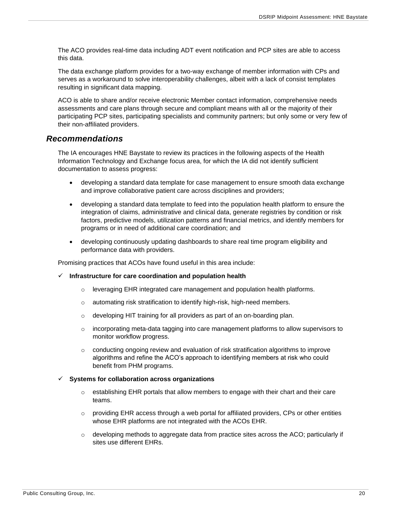The ACO provides real-time data including ADT event notification and PCP sites are able to access this data.

The data exchange platform provides for a two-way exchange of member information with CPs and serves as a workaround to solve interoperability challenges, albeit with a lack of consist templates resulting in significant data mapping.

ACO is able to share and/or receive electronic Member contact information, comprehensive needs assessments and care plans through secure and compliant means with all or the majority of their participating PCP sites, participating specialists and community partners; but only some or very few of their non-affiliated providers.

### <span id="page-20-0"></span>*Recommendations*

The IA encourages HNE Baystate to review its practices in the following aspects of the Health Information Technology and Exchange focus area, for which the IA did not identify sufficient documentation to assess progress:

- developing a standard data template for case management to ensure smooth data exchange and improve collaborative patient care across disciplines and providers;
- developing a standard data template to feed into the population health platform to ensure the integration of claims, administrative and clinical data, generate registries by condition or risk factors, predictive models, utilization patterns and financial metrics, and identify members for programs or in need of additional care coordination; and
- developing continuously updating dashboards to share real time program eligibility and performance data with providers.

Promising practices that ACOs have found useful in this area include:

- ✓ **Infrastructure for care coordination and population health**
	- $\circ$  leveraging EHR integrated care management and population health platforms.
	- $\circ$  automating risk stratification to identify high-risk, high-need members.
	- o developing HIT training for all providers as part of an on-boarding plan.
	- $\circ$  incorporating meta-data tagging into care management platforms to allow supervisors to monitor workflow progress.
	- $\circ$  conducting ongoing review and evaluation of risk stratification algorithms to improve algorithms and refine the ACO's approach to identifying members at risk who could benefit from PHM programs.

#### ✓ **Systems for collaboration across organizations**

- $\circ$  establishing EHR portals that allow members to engage with their chart and their care teams.
- $\circ$  providing EHR access through a web portal for affiliated providers, CPs or other entities whose EHR platforms are not integrated with the ACOs EHR.
- $\circ$  developing methods to aggregate data from practice sites across the ACO; particularly if sites use different EHRs.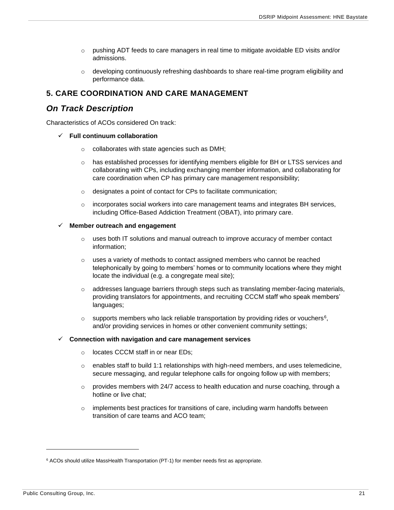- $\circ$  pushing ADT feeds to care managers in real time to mitigate avoidable ED visits and/or admissions.
- o developing continuously refreshing dashboards to share real-time program eligibility and performance data.

## <span id="page-21-0"></span>**5. CARE COORDINATION AND CARE MANAGEMENT**

## <span id="page-21-1"></span>*On Track Description*

Characteristics of ACOs considered On track:

- ✓ **Full continuum collaboration**
	- o collaborates with state agencies such as DMH;
	- o has established processes for identifying members eligible for BH or LTSS services and collaborating with CPs, including exchanging member information, and collaborating for care coordination when CP has primary care management responsibility;
	- o designates a point of contact for CPs to facilitate communication;
	- $\circ$  incorporates social workers into care management teams and integrates BH services, including Office-Based Addiction Treatment (OBAT), into primary care.

#### ✓ **Member outreach and engagement**

- $\circ$  uses both IT solutions and manual outreach to improve accuracy of member contact information;
- $\circ$  uses a variety of methods to contact assigned members who cannot be reached telephonically by going to members' homes or to community locations where they might locate the individual (e.g. a congregate meal site);
- $\circ$  addresses language barriers through steps such as translating member-facing materials, providing translators for appointments, and recruiting CCCM staff who speak members' languages;
- $\circ$  supports members who lack reliable transportation by providing rides or vouchers<sup>6</sup>, and/or providing services in homes or other convenient community settings;

#### ✓ **Connection with navigation and care management services**

- o locates CCCM staff in or near EDs;
- $\circ$  enables staff to build 1:1 relationships with high-need members, and uses telemedicine, secure messaging, and regular telephone calls for ongoing follow up with members;
- $\circ$  provides members with 24/7 access to health education and nurse coaching, through a hotline or live chat;
- $\circ$  implements best practices for transitions of care, including warm handoffs between transition of care teams and ACO team;

<sup>&</sup>lt;sup>6</sup> ACOs should utilize MassHealth Transportation (PT-1) for member needs first as appropriate.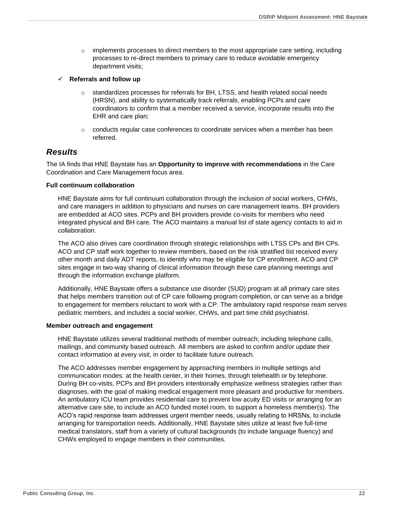- $\circ$  implements processes to direct members to the most appropriate care setting, including processes to re-direct members to primary care to reduce avoidable emergency department visits;
- ✓ **Referrals and follow up**
	- $\circ$  standardizes processes for referrals for BH, LTSS, and health related social needs (HRSN), and ability to systematically track referrals, enabling PCPs and care coordinators to confirm that a member received a service, incorporate results into the EHR and care plan;
	- $\circ$  conducts regular case conferences to coordinate services when a member has been referred.

### <span id="page-22-0"></span>*Results*

The IA finds that HNE Baystate has an **Opportunity to improve with recommendations** in the Care Coordination and Care Management focus area.

#### **Full continuum collaboration**

HNE Baystate aims for full continuum collaboration through the inclusion of social workers, CHWs, and care managers in addition to physicians and nurses on care management teams. BH providers are embedded at ACO sites. PCPs and BH providers provide co-visits for members who need integrated physical and BH care. The ACO maintains a manual list of state agency contacts to aid in collaboration.

The ACO also drives care coordination through strategic relationships with LTSS CPs and BH CPs. ACO and CP staff work together to review members, based on the risk stratified list received every other month and daily ADT reports, to identify who may be eligible for CP enrollment. ACO and CP sites engage in two-way sharing of clinical information through these care planning meetings and through the information exchange platform.

Additionally, HNE Baystate offers a substance use disorder (SUD) program at all primary care sites that helps members transition out of CP care following program completion, or can serve as a bridge to engagement for members reluctant to work with a CP. The ambulatory rapid response ream serves pediatric members, and includes a social worker, CHWs, and part time child psychiatrist.

#### **Member outreach and engagement**

HNE Baystate utilizes several traditional methods of member outreach; including telephone calls, mailings, and community based outreach. All members are asked to confirm and/or update their contact information at every visit, in order to facilitate future outreach.

The ACO addresses member engagement by approaching members in multiple settings and communication modes: at the health center, in their homes, through telehealth or by telephone. During BH co-visits, PCPs and BH providers intentionally emphasize wellness strategies rather than diagnoses, with the goal of making medical engagement more pleasant and productive for members. An ambulatory ICU team provides residential care to prevent low acuity ED visits or arranging for an alternative care site, to include an ACO funded motel room, to support a homeless member(s). The ACO's rapid response team addresses urgent member needs, usually relating to HRSNs, to include arranging for transportation needs. Additionally, HNE Baystate sites utilize at least five full-time medical translators, staff from a variety of cultural backgrounds (to include language fluency) and CHWs employed to engage members in their communities.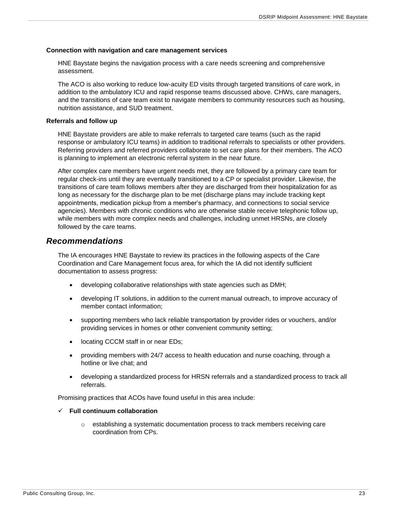#### **Connection with navigation and care management services**

HNE Baystate begins the navigation process with a care needs screening and comprehensive assessment.

The ACO is also working to reduce low-acuity ED visits through targeted transitions of care work, in addition to the ambulatory ICU and rapid response teams discussed above. CHWs, care managers, and the transitions of care team exist to navigate members to community resources such as housing, nutrition assistance, and SUD treatment.

#### **Referrals and follow up**

HNE Baystate providers are able to make referrals to targeted care teams (such as the rapid response or ambulatory ICU teams) in addition to traditional referrals to specialists or other providers. Referring providers and referred providers collaborate to set care plans for their members. The ACO is planning to implement an electronic referral system in the near future.

After complex care members have urgent needs met, they are followed by a primary care team for regular check-ins until they are eventually transitioned to a CP or specialist provider. Likewise, the transitions of care team follows members after they are discharged from their hospitalization for as long as necessary for the discharge plan to be met (discharge plans may include tracking kept appointments, medication pickup from a member's pharmacy, and connections to social service agencies). Members with chronic conditions who are otherwise stable receive telephonic follow up, while members with more complex needs and challenges, including unmet HRSNs, are closely followed by the care teams.

#### <span id="page-23-0"></span>*Recommendations*

The IA encourages HNE Baystate to review its practices in the following aspects of the Care Coordination and Care Management focus area, for which the IA did not identify sufficient documentation to assess progress:

- developing collaborative relationships with state agencies such as DMH;
- developing IT solutions, in addition to the current manual outreach, to improve accuracy of member contact information;
- supporting members who lack reliable transportation by provider rides or vouchers, and/or providing services in homes or other convenient community setting;
- locating CCCM staff in or near EDs;
- providing members with 24/7 access to health education and nurse coaching, through a hotline or live chat; and
- developing a standardized process for HRSN referrals and a standardized process to track all referrals.

Promising practices that ACOs have found useful in this area include:

#### ✓ **Full continuum collaboration**

o establishing a systematic documentation process to track members receiving care coordination from CPs.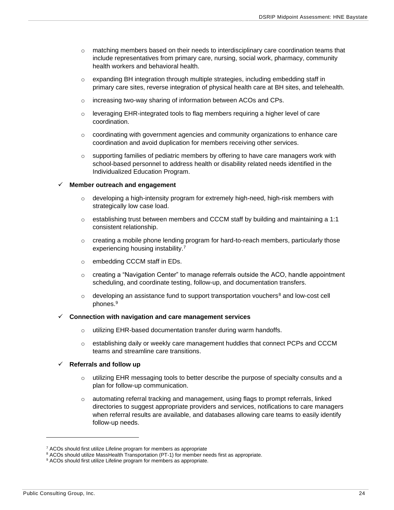- $\circ$  matching members based on their needs to interdisciplinary care coordination teams that include representatives from primary care, nursing, social work, pharmacy, community health workers and behavioral health.
- $\circ$  expanding BH integration through multiple strategies, including embedding staff in primary care sites, reverse integration of physical health care at BH sites, and telehealth.
- o increasing two-way sharing of information between ACOs and CPs.
- o leveraging EHR-integrated tools to flag members requiring a higher level of care coordination.
- $\circ$  coordinating with government agencies and community organizations to enhance care coordination and avoid duplication for members receiving other services.
- $\circ$  supporting families of pediatric members by offering to have care managers work with school-based personnel to address health or disability related needs identified in the Individualized Education Program.

#### ✓ **Member outreach and engagement**

- $\circ$  developing a high-intensity program for extremely high-need, high-risk members with strategically low case load.
- $\circ$  establishing trust between members and CCCM staff by building and maintaining a 1:1 consistent relationship.
- $\circ$  creating a mobile phone lending program for hard-to-reach members, particularly those experiencing housing instability.<sup>7</sup>
- o embedding CCCM staff in EDs.
- $\circ$  creating a "Navigation Center" to manage referrals outside the ACO, handle appointment scheduling, and coordinate testing, follow-up, and documentation transfers.
- $\circ$  developing an assistance fund to support transportation vouchers<sup>8</sup> and low-cost cell phones.<sup>9</sup>

#### ✓ **Connection with navigation and care management services**

- o utilizing EHR-based documentation transfer during warm handoffs.
- $\circ$  establishing daily or weekly care management huddles that connect PCPs and CCCM teams and streamline care transitions.

#### ✓ **Referrals and follow up**

- $\circ$  utilizing EHR messaging tools to better describe the purpose of specialty consults and a plan for follow-up communication.
- o automating referral tracking and management, using flags to prompt referrals, linked directories to suggest appropriate providers and services, notifications to care managers when referral results are available, and databases allowing care teams to easily identify follow-up needs.

<sup>&</sup>lt;sup>7</sup> ACOs should first utilize Lifeline program for members as appropriate

<sup>&</sup>lt;sup>8</sup> ACOs should utilize MassHealth Transportation (PT-1) for member needs first as appropriate.

<sup>&</sup>lt;sup>9</sup> ACOs should first utilize Lifeline program for members as appropriate.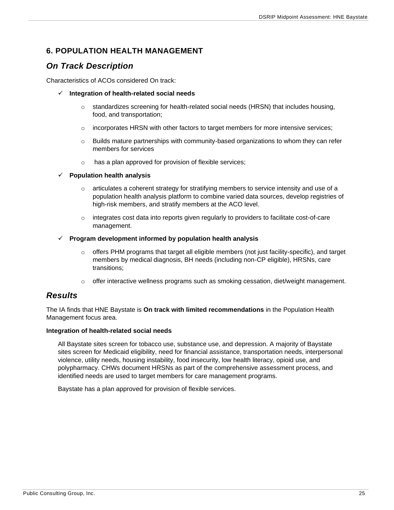## <span id="page-25-0"></span>**6. POPULATION HEALTH MANAGEMENT**

## <span id="page-25-1"></span>*On Track Description*

Characteristics of ACOs considered On track:

- ✓ **Integration of health-related social needs**
	- o standardizes screening for health-related social needs (HRSN) that includes housing, food, and transportation;
	- $\circ$  incorporates HRSN with other factors to target members for more intensive services;
	- $\circ$  Builds mature partnerships with community-based organizations to whom they can refer members for services
	- o has a plan approved for provision of flexible services;

#### ✓ **Population health analysis**

- $\circ$  articulates a coherent strategy for stratifying members to service intensity and use of a population health analysis platform to combine varied data sources, develop registries of high-risk members, and stratify members at the ACO level.
- $\circ$  integrates cost data into reports given regularly to providers to facilitate cost-of-care management.
- ✓ **Program development informed by population health analysis**
	- o offers PHM programs that target all eligible members (not just facility-specific), and target members by medical diagnosis, BH needs (including non-CP eligible), HRSNs, care transitions;
	- $\circ$  offer interactive wellness programs such as smoking cessation, diet/weight management.

### <span id="page-25-2"></span>*Results*

The IA finds that HNE Baystate is **On track with limited recommendations** in the Population Health Management focus area.

#### **Integration of health-related social needs**

All Baystate sites screen for tobacco use, substance use, and depression. A majority of Baystate sites screen for Medicaid eligibility, need for financial assistance, transportation needs, interpersonal violence, utility needs, housing instability, food insecurity, low health literacy, opioid use, and polypharmacy. CHWs document HRSNs as part of the comprehensive assessment process, and identified needs are used to target members for care management programs.

Baystate has a plan approved for provision of flexible services.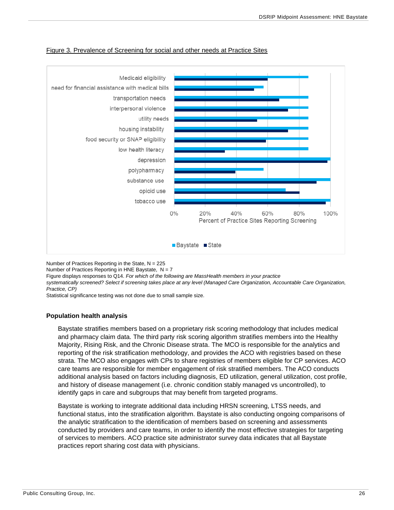

#### Figure 3. Prevalence of Screening for social and other needs at Practice Sites

Number of Practices Reporting in the State,  $N = 225$ 

Number of Practices Reporting in HNE Baystate,  $N = 7$ 

Figure displays responses to Q14. *For which of the following are MassHealth members in your practice systematically screened? Select if screening takes place at any level (Managed Care Organization, Accountable Care Organization, Practice, CP)*

Statistical significance testing was not done due to small sample size.

#### **Population health analysis**

Baystate stratifies members based on a proprietary risk scoring methodology that includes medical and pharmacy claim data. The third party risk scoring algorithm stratifies members into the Healthy Majority, Rising Risk, and the Chronic Disease strata. The MCO is responsible for the analytics and reporting of the risk stratification methodology, and provides the ACO with registries based on these strata. The MCO also engages with CPs to share registries of members eligible for CP services. ACO care teams are responsible for member engagement of risk stratified members. The ACO conducts additional analysis based on factors including diagnosis, ED utilization, general utilization, cost profile, and history of disease management (i.e. chronic condition stably managed vs uncontrolled), to identify gaps in care and subgroups that may benefit from targeted programs.

Baystate is working to integrate additional data including HRSN screening, LTSS needs, and functional status, into the stratification algorithm. Baystate is also conducting ongoing comparisons of the analytic stratification to the identification of members based on screening and assessments conducted by providers and care teams, in order to identify the most effective strategies for targeting of services to members. ACO practice site administrator survey data indicates that all Baystate practices report sharing cost data with physicians.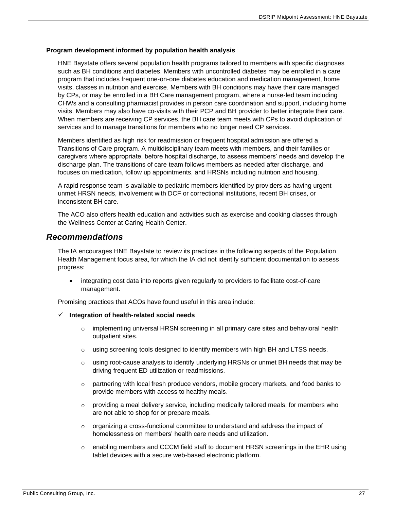#### **Program development informed by population health analysis**

HNE Baystate offers several population health programs tailored to members with specific diagnoses such as BH conditions and diabetes. Members with uncontrolled diabetes may be enrolled in a care program that includes frequent one-on-one diabetes education and medication management, home visits, classes in nutrition and exercise. Members with BH conditions may have their care managed by CPs, or may be enrolled in a BH Care management program, where a nurse-led team including CHWs and a consulting pharmacist provides in person care coordination and support, including home visits. Members may also have co-visits with their PCP and BH provider to better integrate their care. When members are receiving CP services, the BH care team meets with CPs to avoid duplication of services and to manage transitions for members who no longer need CP services.

Members identified as high risk for readmission or frequent hospital admission are offered a Transitions of Care program. A multidisciplinary team meets with members, and their families or caregivers where appropriate, before hospital discharge, to assess members' needs and develop the discharge plan. The transitions of care team follows members as needed after discharge, and focuses on medication, follow up appointments, and HRSNs including nutrition and housing.

A rapid response team is available to pediatric members identified by providers as having urgent unmet HRSN needs, involvement with DCF or correctional institutions, recent BH crises, or inconsistent BH care.

The ACO also offers health education and activities such as exercise and cooking classes through the Wellness Center at Caring Health Center.

#### <span id="page-27-0"></span>*Recommendations*

The IA encourages HNE Baystate to review its practices in the following aspects of the Population Health Management focus area, for which the IA did not identify sufficient documentation to assess progress:

• integrating cost data into reports given regularly to providers to facilitate cost-of-care management.

Promising practices that ACOs have found useful in this area include:

#### ✓ **Integration of health-related social needs**

- $\circ$  implementing universal HRSN screening in all primary care sites and behavioral health outpatient sites.
- o using screening tools designed to identify members with high BH and LTSS needs.
- $\circ$  using root-cause analysis to identify underlying HRSNs or unmet BH needs that may be driving frequent ED utilization or readmissions.
- $\circ$  partnering with local fresh produce vendors, mobile grocery markets, and food banks to provide members with access to healthy meals.
- $\circ$  providing a meal delivery service, including medically tailored meals, for members who are not able to shop for or prepare meals.
- $\circ$  organizing a cross-functional committee to understand and address the impact of homelessness on members' health care needs and utilization.
- $\circ$  enabling members and CCCM field staff to document HRSN screenings in the EHR using tablet devices with a secure web-based electronic platform.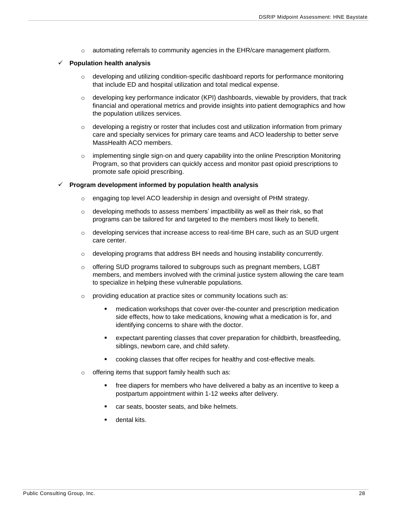$\circ$  automating referrals to community agencies in the EHR/care management platform.

#### ✓ **Population health analysis**

- $\circ$  developing and utilizing condition-specific dashboard reports for performance monitoring that include ED and hospital utilization and total medical expense.
- $\circ$  developing key performance indicator (KPI) dashboards, viewable by providers, that track financial and operational metrics and provide insights into patient demographics and how the population utilizes services.
- $\circ$  developing a registry or roster that includes cost and utilization information from primary care and specialty services for primary care teams and ACO leadership to better serve MassHealth ACO members.
- $\circ$  implementing single sign-on and query capability into the online Prescription Monitoring Program, so that providers can quickly access and monitor past opioid prescriptions to promote safe opioid prescribing.

#### ✓ **Program development informed by population health analysis**

- o engaging top level ACO leadership in design and oversight of PHM strategy.
- $\circ$  developing methods to assess members' impactibility as well as their risk, so that programs can be tailored for and targeted to the members most likely to benefit.
- $\circ$  developing services that increase access to real-time BH care, such as an SUD urgent care center.
- $\circ$  developing programs that address BH needs and housing instability concurrently.
- $\circ$  offering SUD programs tailored to subgroups such as pregnant members, LGBT members, and members involved with the criminal justice system allowing the care team to specialize in helping these vulnerable populations.
- $\circ$  providing education at practice sites or community locations such as:
	- medication workshops that cover over-the-counter and prescription medication side effects, how to take medications, knowing what a medication is for, and identifying concerns to share with the doctor.
	- expectant parenting classes that cover preparation for childbirth, breastfeeding, siblings, newborn care, and child safety.
	- cooking classes that offer recipes for healthy and cost-effective meals.
- o offering items that support family health such as:
	- free diapers for members who have delivered a baby as an incentive to keep a postpartum appointment within 1-12 weeks after delivery.
	- car seats, booster seats, and bike helmets.
	- dental kits.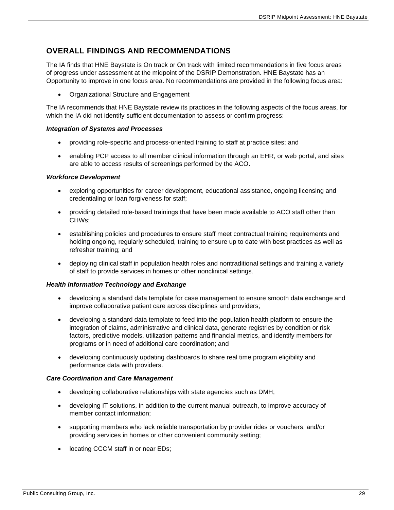## <span id="page-29-0"></span>**OVERALL FINDINGS AND RECOMMENDATIONS**

The IA finds that HNE Baystate is On track or On track with limited recommendations in five focus areas of progress under assessment at the midpoint of the DSRIP Demonstration. HNE Baystate has an Opportunity to improve in one focus area. No recommendations are provided in the following focus area:

• Organizational Structure and Engagement

The IA recommends that HNE Baystate review its practices in the following aspects of the focus areas, for which the IA did not identify sufficient documentation to assess or confirm progress:

#### *Integration of Systems and Processes*

- providing role-specific and process-oriented training to staff at practice sites; and
- enabling PCP access to all member clinical information through an EHR, or web portal, and sites are able to access results of screenings performed by the ACO.

#### *Workforce Development*

- exploring opportunities for career development, educational assistance, ongoing licensing and credentialing or loan forgiveness for staff;
- providing detailed role-based trainings that have been made available to ACO staff other than CHWs;
- establishing policies and procedures to ensure staff meet contractual training requirements and holding ongoing, regularly scheduled, training to ensure up to date with best practices as well as refresher training; and
- deploying clinical staff in population health roles and nontraditional settings and training a variety of staff to provide services in homes or other nonclinical settings.

#### *Health Information Technology and Exchange*

- developing a standard data template for case management to ensure smooth data exchange and improve collaborative patient care across disciplines and providers;
- developing a standard data template to feed into the population health platform to ensure the integration of claims, administrative and clinical data, generate registries by condition or risk factors, predictive models, utilization patterns and financial metrics, and identify members for programs or in need of additional care coordination; and
- developing continuously updating dashboards to share real time program eligibility and performance data with providers.

#### *Care Coordination and Care Management*

- developing collaborative relationships with state agencies such as DMH;
- developing IT solutions, in addition to the current manual outreach, to improve accuracy of member contact information;
- supporting members who lack reliable transportation by provider rides or vouchers, and/or providing services in homes or other convenient community setting;
- locating CCCM staff in or near EDs;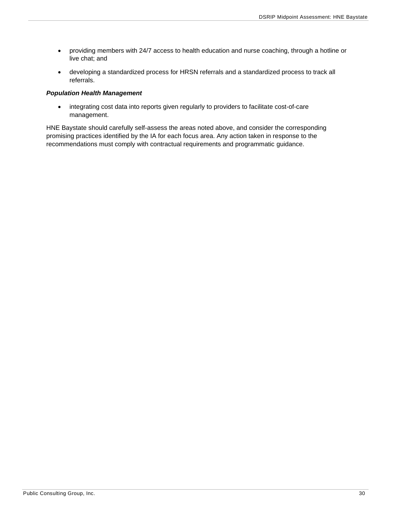- providing members with 24/7 access to health education and nurse coaching, through a hotline or live chat; and
- developing a standardized process for HRSN referrals and a standardized process to track all referrals.

#### *Population Health Management*

• integrating cost data into reports given regularly to providers to facilitate cost-of-care management.

HNE Baystate should carefully self-assess the areas noted above, and consider the corresponding promising practices identified by the IA for each focus area. Any action taken in response to the recommendations must comply with contractual requirements and programmatic guidance.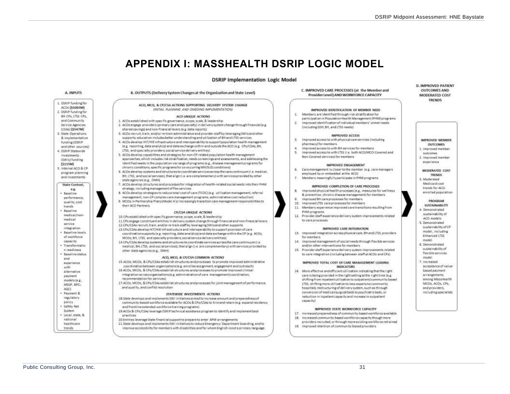## **APPENDIX I: MASSHEALTH DSRIP LOGIC MODEL**

#### **DSRIP Implementation Logic Model**

<span id="page-31-0"></span>

#### B. OUTPUTS (Delivery System Changes at the Organization and State Level) ACO, MCO, & CP/CSA ACTIONS SUPPORTING DELIVERY SYSTEM CHANGE INITIAL PLANNING AND ONGOING IMPLEMENTATIONS ¥. ACO UNIQUE ACTIONS 1. ACOs established with specific governance, scope, scale, & leadership W. 2. ACOs engage providers (primary care and specialty) in delivery system change through financial (e.g. shared savings) and non-financial levers (e.g. data reports) 8. ACDs recruit, train, and/or re-train administrative and provider staff by leveraging SWIs and other supports, education includes better understanding and utilization of BH and LTSS services ×. 4. ACOs develop HIT/HIE infrastructure and interpoerability to support population health management pharmacy) for members: le z. reporting, data analytics) and data exchange within and outside the ACO (e.g., CPs/CSAs; BH, LTSS, and specially providers; social service delivery entities). 5. ACOs develop capabilities and strategies for non-CP-related population health management approaches, which includes risk stratification, needs screenings and assessments, and addressing the identified needs in the copulation via range of programs (e.g., disease management programs for chronic conditions, specific programs for co-occurring MH/SUD conditions) 6. 6. ACOs develop systems and structures to coordinate services across the care continuum (i.e. medical, BH, LTSS, and social services), that align (i.e. are complementary) with services provided by other 7. ACOs develop structures and processes for integration of health-related social needs into their PHM R. 8. ACOs develop strategies to reduce total cost of care (TCOC) (e.g. utilization management, referral management, non-CP complex care management programs, administrative cost reduction)  $\alpha$ 9. MCDs in Partnership Plans(Model A's) increasingly transition care management responsibilities to PHM programs CP/CSA UNIQUE ACTIONS 10.CPs established with specific governance, scope, scale. & leadership to care processes 11.CPs engage constituent entities in delivery system change through financial and non-financial levers 12 CPs/CSAs recruit train, and/or re-train staff by leveraging SWIs and other supports 13 CPs/CSAs develop HIT/HIE infrastructure and interoperability to support provision of care coordination supports (e.g. reporting, data analytics) and data exchange within the CP (e.g. ACOs, MCDs; BH, LTSS, and specially providers; social service delivery entities) for members. 34. 14 CPs/CSAs develop systems and structures to coordinate services across the care continuum (i.e. medical, BH, LTSS, and social services), that align (i.e. are complementary) with services provided by 15. Provider staff experience delivery system improvements related ACO, MCO, & CP/CSA COMMON ACTIONS 15.4COs, MCOs, & CPs/CSAs establish structures and processes to promote improved administrative coordination between organizations (e.g. enrollee assignment, engagement and outreach) 16.ACOs, MCOs, & CPs/CSAs establish structures and processes to promote improved clinical integration acrossorganizations (e.g. administration of care management/coordination, 17 ACOs, MCOs, & CPs/CSAs establish structures and processes for joint management of performance STATEWIDE INVESTMENTS ACTIONS

- 18.State develops and implements SWI initiatives almed to increase amount and preparedness of community-based workforce available for ACOs & CPs/CSAs to hire and retain (e.g. expand residency and frontline extended workforce training programs)
- 19 ACOs & CPs/CSAs leverage OSR(P technical assistance program to identify and implement best
- 20 Entities leverage State financial support to prepare to enter APM arrangements
- 21 State develops and implements SWI initiatives to reduce Emergency Department boarding, and to improve accessibility for members with disabilities and for whom English isnot a primary language.

C. IMPROVED CARE PROCESSES (at the Member and Provider Level) AND WORKFORCE CAPACITY

#### IMPROVED IDENTIFICATION OF MEMBER NEED.

- Members are identified through risk stratification for
- participation in Population Health Management (PHM) programs Improved identification of individual members' unmet needs.
- (including SDH, BH, and LTSS needs)

#### **IMPROVED ACCESS**

- Improved access to with physical care services (including
- Improved access to with BH services for members
- improved access to with LT55 ii.e. both ACO/MCO-Covered and Non-Covered services) for members

#### IMPROVED ENGAGEMENT

- Care management is closer to the member (e.g. care managers
- employed by ar embedded at the ACO)
- Members meaningfullyparticipate in PHM programs.

#### IMPROVED COMPLETION OF CARE PROCESSES

- Improved physical health processes (e.g., measures for wellness & eraspection, chennic disease management) for members
- Improved SH care processes for members.
- 10. Improved LT35 care processes for members
- 11. Members experience improved core transitions resulting from
- 12. Provider staff experience delivery system improvements related

#### IMPROVED CARE INTEGRATION

- 13. Improved integration across physical care, 6H and LTSS providers.
- improved management of social needs through flexible services and/or other interventions for members
- to care integration (including between staff at ACOs and CPs)

#### IMPROVED TOTAL COST OF CARE MANAGEMENT LEADING **INDICATORS**

16. More effective and efficient utilization indicating that the right care is being provided in the right setting at the right time (e.g. shifting from inpatient utilization to outpatient/community based LTSS: shifting more utilization to less-expensive community hospitals; restructuring of delivery system, such as through conversion of medical/surgical beds to psychiatric beds, or reduction in inpatient capacity and increase in outpatient canacityl

#### IMPROVED STATE WORKFORCE CAPACITY

- 17. Increased preparedness of community-based workforce available 18. Increased community-based workforce capacity though more
- providers recruited, or through more existing workforce retrained
- 19. Improved retention of community-based providers

#### **D. IMPROVED PATIENT OUTCOMES AND MODERATED COST TRENDS**

nutcomes 2. Improved member experience MODERATED COST

IMPROVED MEMBER

**CIETYCOMPS** 

1. Improved mambar

**TRENDS** R. Mosteraturi Medicaid cost trends for ACO-

enrolled population

PROGRAM **SUSTAINABILITY** 

4. Demonstrated sustainability of ACO models 5. Demonstrated

- sustainability of CP model, including
- Enhanced LTSS model
- 6. Demonstrated
- custainability of
- flexible services
- model 7 increased
- acceptance of value-
- based payment
- arrangements
- among MassHealth MCOs, ACOs, CPs.
- and providers.
- including specialists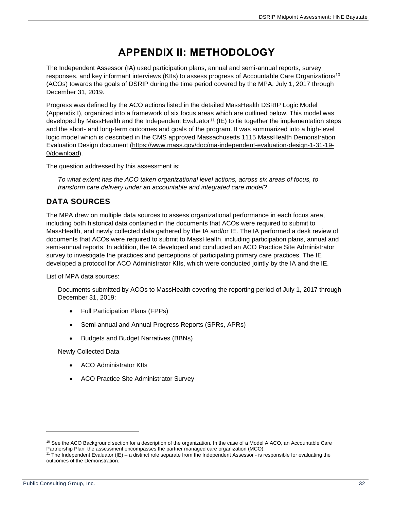## **APPENDIX II: METHODOLOGY**

<span id="page-32-0"></span>The Independent Assessor (IA) used participation plans, annual and semi-annual reports, survey responses, and key informant interviews (KIIs) to assess progress of Accountable Care Organizations<sup>10</sup> (ACOs) towards the goals of DSRIP during the time period covered by the MPA, July 1, 2017 through December 31, 2019.

Progress was defined by the ACO actions listed in the detailed MassHealth DSRIP Logic Model (Appendix I), organized into a framework of six focus areas which are outlined below. This model was developed by MassHealth and the Independent Evaluator<sup>11</sup> (IE) to tie together the implementation steps and the short- and long-term outcomes and goals of the program. It was summarized into a high-level logic model which is described in the CMS approved Massachusetts 1115 MassHealth Demonstration Evaluation Design document [\(https://www.mass.gov/doc/ma-independent-evaluation-design-1-31-19-](https://www.mass.gov/doc/ma-independent-evaluation-design-1-31-19-0/download) [0/download\)](https://www.mass.gov/doc/ma-independent-evaluation-design-1-31-19-0/download).

The question addressed by this assessment is:

*To what extent has the ACO taken organizational level actions, across six areas of focus, to transform care delivery under an accountable and integrated care model?*

## <span id="page-32-1"></span>**DATA SOURCES**

The MPA drew on multiple data sources to assess organizational performance in each focus area, including both historical data contained in the documents that ACOs were required to submit to MassHealth, and newly collected data gathered by the IA and/or IE. The IA performed a desk review of documents that ACOs were required to submit to MassHealth, including participation plans, annual and semi-annual reports. In addition, the IA developed and conducted an ACO Practice Site Administrator survey to investigate the practices and perceptions of participating primary care practices. The IE developed a protocol for ACO Administrator KIIs, which were conducted jointly by the IA and the IE.

List of MPA data sources:

Documents submitted by ACOs to MassHealth covering the reporting period of July 1, 2017 through December 31, 2019:

- Full Participation Plans (FPPs)
- Semi-annual and Annual Progress Reports (SPRs, APRs)
- Budgets and Budget Narratives (BBNs)

Newly Collected Data

- ACO Administrator KIIs
- ACO Practice Site Administrator Survey

<sup>&</sup>lt;sup>10</sup> See the ACO Background section for a description of the organization. In the case of a Model A ACO, an Accountable Care Partnership Plan, the assessment encompasses the partner managed care organization (MCO).

<sup>11</sup> The Independent Evaluator (IE) – a distinct role separate from the Independent Assessor - is responsible for evaluating the outcomes of the Demonstration.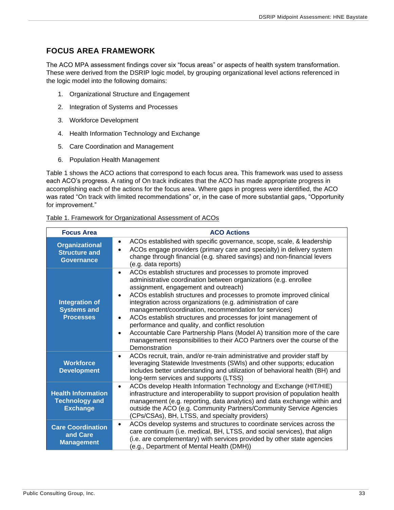## <span id="page-33-0"></span>**FOCUS AREA FRAMEWORK**

The ACO MPA assessment findings cover six "focus areas" or aspects of health system transformation. These were derived from the DSRIP logic model, by grouping organizational level actions referenced in the logic model into the following domains:

- 1. Organizational Structure and Engagement
- 2. Integration of Systems and Processes
- 3. Workforce Development
- 4. Health Information Technology and Exchange
- 5. Care Coordination and Management
- 6. Population Health Management

Table 1 shows the ACO actions that correspond to each focus area. This framework was used to assess each ACO's progress. A rating of On track indicates that the ACO has made appropriate progress in accomplishing each of the actions for the focus area. Where gaps in progress were identified, the ACO was rated "On track with limited recommendations" or, in the case of more substantial gaps, "Opportunity for improvement."

| Table 1. Framework for Organizational Assessment of ACOs |  |
|----------------------------------------------------------|--|
|----------------------------------------------------------|--|

| <b>Focus Area</b>                                                     | <b>ACO Actions</b>                                                                                                                                                                                                                                                                                                                                                                                                                                                                                                                                                                                                                                                                                               |
|-----------------------------------------------------------------------|------------------------------------------------------------------------------------------------------------------------------------------------------------------------------------------------------------------------------------------------------------------------------------------------------------------------------------------------------------------------------------------------------------------------------------------------------------------------------------------------------------------------------------------------------------------------------------------------------------------------------------------------------------------------------------------------------------------|
| <b>Organizational</b><br><b>Structure and</b><br><b>Governance</b>    | ACOs established with specific governance, scope, scale, & leadership<br>$\bullet$<br>ACOs engage providers (primary care and specialty) in delivery system<br>change through financial (e.g. shared savings) and non-financial levers<br>(e.g. data reports)                                                                                                                                                                                                                                                                                                                                                                                                                                                    |
| <b>Integration of</b><br><b>Systems and</b><br><b>Processes</b>       | ACOs establish structures and processes to promote improved<br>$\bullet$<br>administrative coordination between organizations (e.g. enrollee<br>assignment, engagement and outreach)<br>ACOs establish structures and processes to promote improved clinical<br>integration across organizations (e.g. administration of care<br>management/coordination, recommendation for services)<br>ACOs establish structures and processes for joint management of<br>$\bullet$<br>performance and quality, and conflict resolution<br>Accountable Care Partnership Plans (Model A) transition more of the care<br>$\bullet$<br>management responsibilities to their ACO Partners over the course of the<br>Demonstration |
| <b>Workforce</b><br><b>Development</b>                                | ACOs recruit, train, and/or re-train administrative and provider staff by<br>$\bullet$<br>leveraging Statewide Investments (SWIs) and other supports; education<br>includes better understanding and utilization of behavioral health (BH) and<br>long-term services and supports (LTSS)                                                                                                                                                                                                                                                                                                                                                                                                                         |
| <b>Health Information</b><br><b>Technology and</b><br><b>Exchange</b> | ACOs develop Health Information Technology and Exchange (HIT/HIE)<br>$\bullet$<br>infrastructure and interoperability to support provision of population health<br>management (e.g. reporting, data analytics) and data exchange within and<br>outside the ACO (e.g. Community Partners/Community Service Agencies<br>(CPs/CSAs), BH, LTSS, and specialty providers)                                                                                                                                                                                                                                                                                                                                             |
| <b>Care Coordination</b><br>and Care<br><b>Management</b>             | ACOs develop systems and structures to coordinate services across the<br>$\bullet$<br>care continuum (i.e. medical, BH, LTSS, and social services), that align<br>(i.e. are complementary) with services provided by other state agencies<br>(e.g., Department of Mental Health (DMH))                                                                                                                                                                                                                                                                                                                                                                                                                           |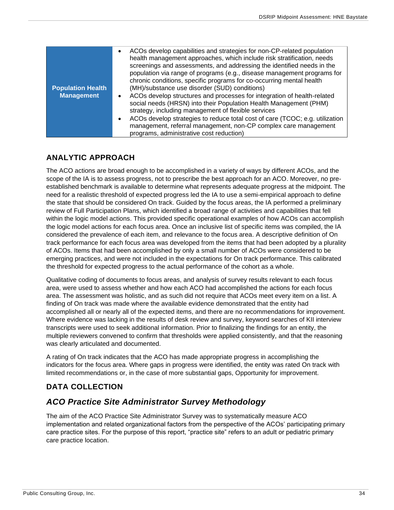| <b>Population Health</b> | ACOs develop capabilities and strategies for non-CP-related population<br>health management approaches, which include risk stratification, needs<br>screenings and assessments, and addressing the identified needs in the<br>population via range of programs (e.g., disease management programs for<br>chronic conditions, specific programs for co-occurring mental health<br>(MH)/substance use disorder (SUD) conditions) |
|--------------------------|--------------------------------------------------------------------------------------------------------------------------------------------------------------------------------------------------------------------------------------------------------------------------------------------------------------------------------------------------------------------------------------------------------------------------------|
| <b>Management</b>        | ACOs develop structures and processes for integration of health-related<br>٠                                                                                                                                                                                                                                                                                                                                                   |
|                          | social needs (HRSN) into their Population Health Management (PHM)<br>strategy, including management of flexible services                                                                                                                                                                                                                                                                                                       |
|                          | ACOs develop strategies to reduce total cost of care (TCOC; e.g. utilization<br>٠                                                                                                                                                                                                                                                                                                                                              |
|                          | management, referral management, non-CP complex care management<br>programs, administrative cost reduction)                                                                                                                                                                                                                                                                                                                    |
|                          |                                                                                                                                                                                                                                                                                                                                                                                                                                |

## <span id="page-34-0"></span>**ANALYTIC APPROACH**

The ACO actions are broad enough to be accomplished in a variety of ways by different ACOs, and the scope of the IA is to assess progress, not to prescribe the best approach for an ACO. Moreover, no preestablished benchmark is available to determine what represents adequate progress at the midpoint. The need for a realistic threshold of expected progress led the IA to use a semi-empirical approach to define the state that should be considered On track. Guided by the focus areas, the IA performed a preliminary review of Full Participation Plans, which identified a broad range of activities and capabilities that fell within the logic model actions. This provided specific operational examples of how ACOs can accomplish the logic model actions for each focus area. Once an inclusive list of specific items was compiled, the IA considered the prevalence of each item, and relevance to the focus area. A descriptive definition of On track performance for each focus area was developed from the items that had been adopted by a plurality of ACOs. Items that had been accomplished by only a small number of ACOs were considered to be emerging practices, and were not included in the expectations for On track performance. This calibrated the threshold for expected progress to the actual performance of the cohort as a whole.

Qualitative coding of documents to focus areas, and analysis of survey results relevant to each focus area, were used to assess whether and how each ACO had accomplished the actions for each focus area. The assessment was holistic, and as such did not require that ACOs meet every item on a list. A finding of On track was made where the available evidence demonstrated that the entity had accomplished all or nearly all of the expected items, and there are no recommendations for improvement. Where evidence was lacking in the results of desk review and survey, keyword searches of KII interview transcripts were used to seek additional information. Prior to finalizing the findings for an entity, the multiple reviewers convened to confirm that thresholds were applied consistently, and that the reasoning was clearly articulated and documented.

A rating of On track indicates that the ACO has made appropriate progress in accomplishing the indicators for the focus area. Where gaps in progress were identified, the entity was rated On track with limited recommendations or, in the case of more substantial gaps, Opportunity for improvement.

## <span id="page-34-1"></span>**DATA COLLECTION**

## <span id="page-34-2"></span>*ACO Practice Site Administrator Survey Methodology*

The aim of the ACO Practice Site Administrator Survey was to systematically measure ACO implementation and related organizational factors from the perspective of the ACOs' participating primary care practice sites. For the purpose of this report, "practice site" refers to an adult or pediatric primary care practice location.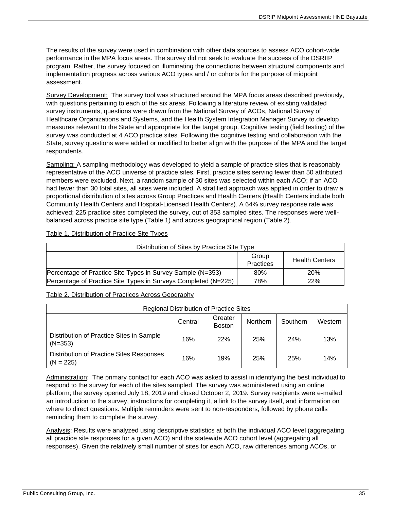The results of the survey were used in combination with other data sources to assess ACO cohort-wide performance in the MPA focus areas. The survey did not seek to evaluate the success of the DSRIIP program. Rather, the survey focused on illuminating the connections between structural components and implementation progress across various ACO types and / or cohorts for the purpose of midpoint assessment.

Survey Development: The survey tool was structured around the MPA focus areas described previously, with questions pertaining to each of the six areas. Following a literature review of existing validated survey instruments, questions were drawn from the National Survey of ACOs, National Survey of Healthcare Organizations and Systems, and the Health System Integration Manager Survey to develop measures relevant to the State and appropriate for the target group. Cognitive testing (field testing) of the survey was conducted at 4 ACO practice sites. Following the cognitive testing and collaboration with the State, survey questions were added or modified to better align with the purpose of the MPA and the target respondents.

Sampling: A sampling methodology was developed to yield a sample of practice sites that is reasonably representative of the ACO universe of practice sites. First, practice sites serving fewer than 50 attributed members were excluded. Next, a random sample of 30 sites was selected within each ACO; if an ACO had fewer than 30 total sites, all sites were included. A stratified approach was applied in order to draw a proportional distribution of sites across Group Practices and Health Centers (Health Centers include both Community Health Centers and Hospital-Licensed Health Centers). A 64% survey response rate was achieved; 225 practice sites completed the survey, out of 353 sampled sites. The responses were wellbalanced across practice site type (Table 1) and across geographical region (Table 2).

| Table 1. Distribution of Practice Site Types |
|----------------------------------------------|
|----------------------------------------------|

| Distribution of Sites by Practice Site Type                    |           |                       |
|----------------------------------------------------------------|-----------|-----------------------|
|                                                                | Group     | <b>Health Centers</b> |
|                                                                | Practices |                       |
| Percentage of Practice Site Types in Survey Sample (N=353)     | 80%       | <b>20%</b>            |
| Percentage of Practice Site Types in Surveys Completed (N=225) | 78%       | 22%                   |

#### Table 2. Distribution of Practices Across Geography

| <b>Regional Distribution of Practice Sites</b>                                      |         |                          |          |          |         |  |  |  |  |  |
|-------------------------------------------------------------------------------------|---------|--------------------------|----------|----------|---------|--|--|--|--|--|
|                                                                                     | Central | Greater<br><b>Boston</b> | Northern | Southern | Western |  |  |  |  |  |
| Distribution of Practice Sites in Sample<br>$(N=353)$                               | 16%     | 22%                      | 25%      | 24%      | 13%     |  |  |  |  |  |
| Distribution of Practice Sites Responses<br>16%<br>19%<br>25%<br>25%<br>$(N = 225)$ |         |                          |          |          |         |  |  |  |  |  |

Administration: The primary contact for each ACO was asked to assist in identifying the best individual to respond to the survey for each of the sites sampled. The survey was administered using an online platform; the survey opened July 18, 2019 and closed October 2, 2019. Survey recipients were e-mailed an introduction to the survey, instructions for completing it, a link to the survey itself, and information on where to direct questions. Multiple reminders were sent to non-responders, followed by phone calls reminding them to complete the survey.

Analysis: Results were analyzed using descriptive statistics at both the individual ACO level (aggregating all practice site responses for a given ACO) and the statewide ACO cohort level (aggregating all responses). Given the relatively small number of sites for each ACO, raw differences among ACOs, or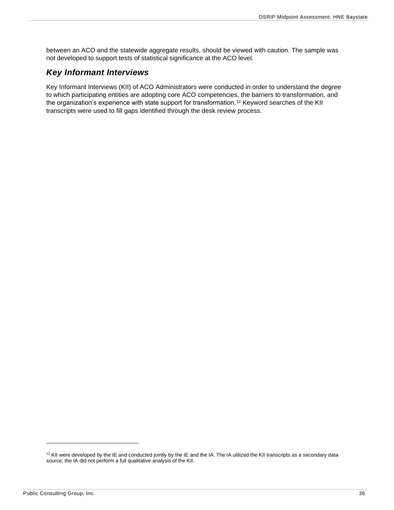between an ACO and the statewide aggregate results, should be viewed with caution. The sample was not developed to support tests of statistical significance at the ACO level.

## <span id="page-36-0"></span>*Key Informant Interviews*

Key Informant Interviews (KII) of ACO Administrators were conducted in order to understand the degree to which participating entities are adopting core ACO competencies, the barriers to transformation, and the organization's experience with state support for transformation.<sup>12</sup> Keyword searches of the KII transcripts were used to fill gaps identified through the desk review process.

 $12$  KII were developed by the IE and conducted jointly by the IE and the IA. The IA utilized the KII transcripts as a secondary data source; the IA did not perform a full qualitative analysis of the KII.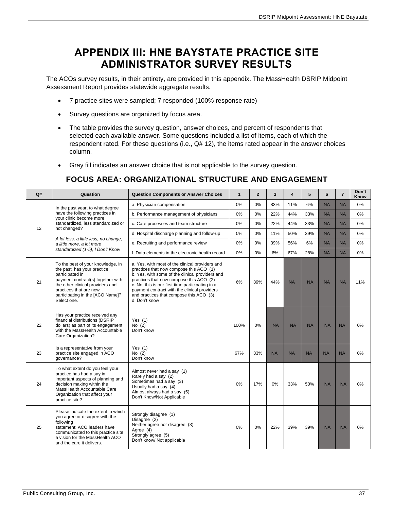## <span id="page-37-0"></span>**APPENDIX III: HNE BAYSTATE PRACTICE SITE ADMINISTRATOR SURVEY RESULTS**

The ACOs survey results, in their entirety, are provided in this appendix. The MassHealth DSRIP Midpoint Assessment Report provides statewide aggregate results.

- 7 practice sites were sampled; 7 responded (100% response rate)
- Survey questions are organized by focus area.
- The table provides the survey question, answer choices, and percent of respondents that selected each available answer. Some questions included a list of items, each of which the respondent rated. For these questions (i.e., Q# 12), the items rated appear in the answer choices column.
- <span id="page-37-1"></span>• Gray fill indicates an answer choice that is not applicable to the survey question.

### **FOCUS AREA: ORGANIZATIONAL STRUCTURE AND ENGAGEMENT**

| Q# | Question                                                                                                                                                                                                                                  | <b>Question Components or Answer Choices</b>                                                                                                                                                                                                                                                                                                             | $\mathbf{1}$ | $\overline{2}$ | 3         | $\overline{\mathbf{4}}$ | 5         | 6         | $\overline{7}$ | Don't<br>Know |
|----|-------------------------------------------------------------------------------------------------------------------------------------------------------------------------------------------------------------------------------------------|----------------------------------------------------------------------------------------------------------------------------------------------------------------------------------------------------------------------------------------------------------------------------------------------------------------------------------------------------------|--------------|----------------|-----------|-------------------------|-----------|-----------|----------------|---------------|
|    | In the past year, to what degree                                                                                                                                                                                                          | a. Physician compensation                                                                                                                                                                                                                                                                                                                                | 0%           | 0%             | 83%       | 11%                     | 6%        | <b>NA</b> | <b>NA</b>      | 0%            |
|    | have the following practices in<br>your clinic become more                                                                                                                                                                                | b. Performance management of physicians                                                                                                                                                                                                                                                                                                                  | 0%           | $0\%$          | 22%       | 44%                     | 33%       | <b>NA</b> | <b>NA</b>      | 0%            |
| 12 | standardized. less standardized or<br>not changed?                                                                                                                                                                                        | c. Care processes and team structure                                                                                                                                                                                                                                                                                                                     | 0%           | 0%             | 22%       | 44%                     | 33%       | <b>NA</b> | <b>NA</b>      | 0%            |
|    |                                                                                                                                                                                                                                           | d. Hospital discharge planning and follow-up                                                                                                                                                                                                                                                                                                             | 0%           | 0%             | 11%       | 50%                     | 39%       | <b>NA</b> | <b>NA</b>      | 0%            |
|    | A lot less, a little less, no change,<br>a little more, a lot more                                                                                                                                                                        | e. Recruiting and performance review                                                                                                                                                                                                                                                                                                                     | 0%           | 0%             | 39%       | 56%                     | 6%        | <b>NA</b> | <b>NA</b>      | 0%            |
|    | standardized (1-5), I Don't Know                                                                                                                                                                                                          | f. Data elements in the electronic health record                                                                                                                                                                                                                                                                                                         | 0%           | 0%             | 6%        | 67%                     | 28%       | <b>NA</b> | <b>NA</b>      | 0%            |
| 21 | To the best of your knowledge, in<br>the past, has your practice<br>participated in<br>payment contract(s) together with<br>the other clinical providers and<br>practices that are now<br>participating in the [ACO Name]?<br>Select one. | a. Yes, with most of the clinical providers and<br>practices that now compose this ACO (1)<br>b. Yes, with some of the clinical providers and<br>practices that now compose this ACO (2)<br>c. No, this is our first time participating in a<br>payment contract with the clinical providers<br>and practices that compose this ACO (3)<br>d. Don't know | 6%           | 39%            | 44%       | <b>NA</b>               | <b>NA</b> | <b>NA</b> | <b>NA</b>      | 11%           |
| 22 | Has your practice received any<br>financial distributions (DSRIP<br>dollars) as part of its engagement<br>with the MassHealth Accountable<br>Care Organization?                                                                           | Yes $(1)$<br>No $(2)$<br>Don't know                                                                                                                                                                                                                                                                                                                      | 100%         | 0%             | <b>NA</b> | <b>NA</b>               | <b>NA</b> | <b>NA</b> | <b>NA</b>      | 0%            |
| 23 | Is a representative from your<br>practice site engaged in ACO<br>qovernance?                                                                                                                                                              | Yes $(1)$<br>No $(2)$<br>Don't know                                                                                                                                                                                                                                                                                                                      | 67%          | 33%            | <b>NA</b> | <b>NA</b>               | <b>NA</b> | <b>NA</b> | <b>NA</b>      | 0%            |
| 24 | To what extent do you feel your<br>practice has had a say in<br>important aspects of planning and<br>decision making within the<br>MassHealth Accountable Care<br>Organization that affect your<br>practice site?                         | Almost never had a say (1)<br>Rarely had a say (2)<br>Sometimes had a say (3)<br>Usually had a say (4)<br>Almost always had a say (5)<br>Don't Know/Not Applicable                                                                                                                                                                                       | 0%           | 17%            | 0%        | 33%                     | 50%       | <b>NA</b> | <b>NA</b>      | 0%            |
| 25 | Please indicate the extent to which<br>you agree or disagree with the<br>following<br>statement: ACO leaders have<br>communicated to this practice site<br>a vision for the MassHealth ACO<br>and the care it delivers.                   | Strongly disagree (1)<br>Disagree (2)<br>Neither agree nor disagree (3)<br>Agree (4)<br>Strongly agree (5)<br>Don't know/ Not applicable                                                                                                                                                                                                                 | 0%           | 0%             | 22%       | 39%                     | 39%       | <b>NA</b> | <b>NA</b>      | 0%            |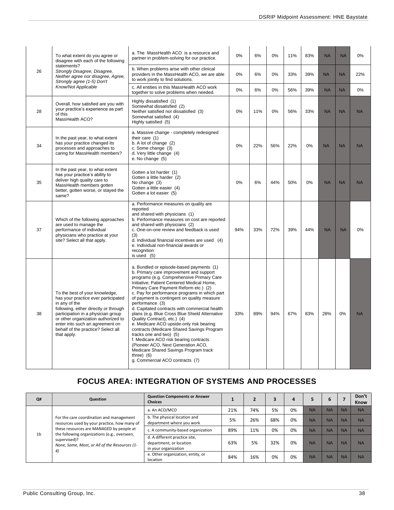|    | To what extent do you agree or<br>disagree with each of the following                                                                                                                                                                                                                                | a. The MassHealth ACO is a resource and<br>partner in problem-solving for our practice.                                                                                                                                                                                                                                                                                                                                                                                                                                                                                                                                                                                                                                                                                        | 0%  | 6%  | 0%  | 11% | 83% | <b>NA</b> | <b>NA</b> | $0\%$     |
|----|------------------------------------------------------------------------------------------------------------------------------------------------------------------------------------------------------------------------------------------------------------------------------------------------------|--------------------------------------------------------------------------------------------------------------------------------------------------------------------------------------------------------------------------------------------------------------------------------------------------------------------------------------------------------------------------------------------------------------------------------------------------------------------------------------------------------------------------------------------------------------------------------------------------------------------------------------------------------------------------------------------------------------------------------------------------------------------------------|-----|-----|-----|-----|-----|-----------|-----------|-----------|
| 26 | statements?<br>Strongly Disagree, Disagree,<br>Neither agree nor disagree, Agree,<br>Strongly agree (1-5) Don't                                                                                                                                                                                      | b. When problems arise with other clinical<br>providers in the MassHealth ACO, we are able<br>to work jointly to find solutions.                                                                                                                                                                                                                                                                                                                                                                                                                                                                                                                                                                                                                                               | 0%  | 6%  | 0%  | 33% | 39% | <b>NA</b> | <b>NA</b> | 22%       |
|    | Know/Not Applicable                                                                                                                                                                                                                                                                                  | c. All entities in this MassHealth ACO work<br>together to solve problems when needed.                                                                                                                                                                                                                                                                                                                                                                                                                                                                                                                                                                                                                                                                                         | 0%  | 6%  | 0%  | 56% | 39% | <b>NA</b> | <b>NA</b> | 0%        |
| 28 | Overall, how satisfied are you with<br>your practice's experience as part<br>of this<br>MassHealth ACO?                                                                                                                                                                                              | Highly dissatisfied (1)<br>Somewhat dissatisfied (2)<br>Neither satisfied nor dissatisfied (3)<br>Somewhat satisfied (4)<br>Highly satisfied (5)                                                                                                                                                                                                                                                                                                                                                                                                                                                                                                                                                                                                                               | 0%  | 11% | 0%  | 56% | 33% | <b>NA</b> | <b>NA</b> | <b>NA</b> |
| 34 | In the past year, to what extent<br>has your practice changed its<br>processes and approaches to<br>caring for MassHealth members?                                                                                                                                                                   | a. Massive change - completely redesigned<br>their care (1)<br>b. A lot of change (2)<br>c. Some change (3)<br>d. Very little change (4)<br>e. No change (5)                                                                                                                                                                                                                                                                                                                                                                                                                                                                                                                                                                                                                   | 0%  | 22% | 56% | 22% | 0%  | <b>NA</b> | <b>NA</b> | <b>NA</b> |
| 35 | In the past year, to what extent<br>has your practice's ability to<br>deliver high quality care to<br>MassHealth members gotten<br>better, gotten worse, or stayed the<br>same?                                                                                                                      | Gotten a lot harder (1)<br>Gotten a little harder (2)<br>No change (3)<br>Gotten a little easier (4)<br>Gotten a lot easier (5)                                                                                                                                                                                                                                                                                                                                                                                                                                                                                                                                                                                                                                                | 0%  | 6%  | 44% | 50% | 0%  | <b>NA</b> | <b>NA</b> | <b>NA</b> |
| 37 | Which of the following approaches<br>are used to manage the<br>performance of individual<br>physicians who practice at your<br>site? Select all that apply.                                                                                                                                          | a. Performance measures on quality are<br>reported<br>and shared with physicians (1)<br>b. Performance measures on cost are reported<br>and shared with physicians (2)<br>c. One-on-one review and feedback is used<br>(3)<br>d. Individual financial incentives are used (4)<br>e. Individual non-financial awards or<br>recognition<br>is used $(5)$                                                                                                                                                                                                                                                                                                                                                                                                                         | 94% | 33% | 72% | 39% | 44% | <b>NA</b> | <b>NA</b> | 0%        |
| 38 | To the best of your knowledge,<br>has your practice ever participated<br>in any of the<br>following, either directly or through<br>participation in a physician group<br>or other organization authorized to<br>enter into such an agreement on<br>behalf of the practice? Select all<br>that apply. | a. Bundled or episode-based payments (1)<br>b. Primary care improvement and support<br>programs (e.g. Comprehensive Primary Care<br>Initiative, Patient Centered Medical Home,<br>Primary Care Payment Reform etc.) (2)<br>c. Pay for performance programs in which part<br>of payment is contingent on quality measure<br>performance (3)<br>d. Capitated contracts with commercial health<br>plans (e.g. Blue Cross Blue Shield Alternative<br>Quality Contract), etc.) (4)<br>e. Medicare ACO upside-only risk bearing<br>contracts (Medicare Shared Savings Program<br>tracks one and two) (5)<br>f. Medicare ACO risk bearing contracts<br>(Pioneer ACO, Next Generation ACO,<br>Medicare Shared Savings Program track<br>three) $(6)$<br>g. Commercial ACO contracts (7) | 33% | 89% | 94% | 67% | 83% | 28%       | 0%        | <b>NA</b> |

## **FOCUS AREA: INTEGRATION OF SYSTEMS AND PROCESSES**

<span id="page-38-0"></span>

| Q#             | <b>Question</b>                                                                          | <b>Question Components or Answer</b><br><b>Choices</b>                           |     |     |     | 4  |           | 6         |           | Don't<br><b>Know</b> |
|----------------|------------------------------------------------------------------------------------------|----------------------------------------------------------------------------------|-----|-----|-----|----|-----------|-----------|-----------|----------------------|
|                |                                                                                          | a. An ACO/MCO                                                                    | 21% | 74% | 5%  | 0% | <b>NA</b> | <b>NA</b> | <b>NA</b> | <b>NA</b>            |
|                | For the care coordination and management<br>resources used by your practice, how many of | b. The physical location and<br>department where you work                        | 5%  | 26% | 68% | 0% | <b>NA</b> | <b>NA</b> | <b>NA</b> | <b>NA</b>            |
| 1 <sub>b</sub> | these resources are MANAGED by people at<br>the following organizations (e.g., overseen, | c. A community-based organization                                                | 89% | 11% | 0%  | 0% | <b>NA</b> | <b>NA</b> | <b>NA</b> | <b>NA</b>            |
|                | supervised)?<br>None, Some, Most, or All of the Resources (1-<br>4)                      | d. A different practice site,<br>department, or location<br>in your organization | 63% | 5%  | 32% | 0% | <b>NA</b> | <b>NA</b> | <b>NA</b> | <b>NA</b>            |
|                |                                                                                          | e. Other organization, entity, or<br>location                                    | 84% | 16% | 0%  | 0% | <b>NA</b> | <b>NA</b> | <b>NA</b> | <b>NA</b>            |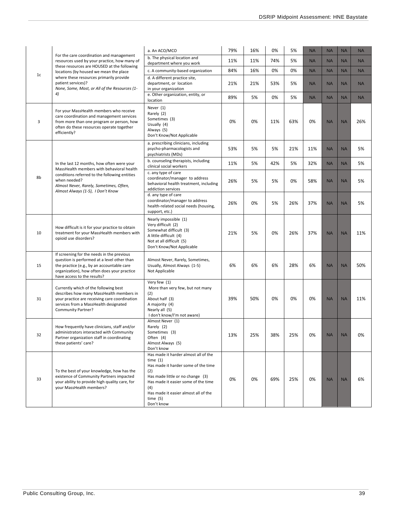|                |                                                                                                                                                                                                                       | a. An ACO/MCO                                                                                                                                                                                                                                       | 79% | 16% | 0%  | 5%  | <b>NA</b> | <b>NA</b> | <b>NA</b> | <b>NA</b> |
|----------------|-----------------------------------------------------------------------------------------------------------------------------------------------------------------------------------------------------------------------|-----------------------------------------------------------------------------------------------------------------------------------------------------------------------------------------------------------------------------------------------------|-----|-----|-----|-----|-----------|-----------|-----------|-----------|
|                | For the care coordination and management<br>resources used by your practice, how many of                                                                                                                              | b. The physical location and<br>department where you work                                                                                                                                                                                           | 11% | 11% | 74% | 5%  | <b>NA</b> | <b>NA</b> | <b>NA</b> | <b>NA</b> |
|                | these resources are HOUSED at the following<br>locations (by housed we mean the place                                                                                                                                 | c. A community-based organization                                                                                                                                                                                                                   | 84% | 16% | 0%  | 0%  | <b>NA</b> | <b>NA</b> | <b>NA</b> | <b>NA</b> |
| 1 <sub>c</sub> | where these resources primarily provide<br>patient services)?<br>None, Some, Most, or All of the Resources (1-                                                                                                        | d. A different practice site,<br>department, or location<br>in your organization                                                                                                                                                                    | 21% | 21% | 53% | 5%  | <b>NA</b> | <b>NA</b> | <b>NA</b> | <b>NA</b> |
|                | 4)                                                                                                                                                                                                                    | e. Other organization, entity, or<br>location                                                                                                                                                                                                       | 89% | 5%  | 0%  | 5%  | <b>NA</b> | <b>NA</b> | <b>NA</b> | <b>NA</b> |
| 3              | For your MassHealth members who receive<br>care coordination and management services<br>from more than one program or person, how<br>often do these resources operate together<br>efficiently?                        | Never (1)<br>Rarely (2)<br>Sometimes (3)<br>Usually (4)<br>Always (5)<br>Don't Know/Not Applicable                                                                                                                                                  | 0%  | 0%  | 11% | 63% | 0%        | <b>NA</b> | <b>NA</b> | 26%       |
|                |                                                                                                                                                                                                                       | a. prescribing clinicians, including<br>psycho-pharmacologists and<br>psychiatrists (MDs)                                                                                                                                                           | 53% | 5%  | 5%  | 21% | 11%       | <b>NA</b> | <b>NA</b> | 5%        |
|                | In the last 12 months, how often were your<br>MassHealth members with behavioral health                                                                                                                               | b. counseling therapists, including<br>clinical social workers                                                                                                                                                                                      | 11% | 5%  | 42% | 5%  | 32%       | <b>NA</b> | <b>NA</b> | 5%        |
| 8b             | conditions referred to the following entities<br>when needed?<br>Almost Never, Rarely, Sometimes, Often,<br>Almost Always (1-5), I Don't Know                                                                         | c. any type of care<br>coordinator/manager to address<br>behavioral health treatment, including<br>addiction services                                                                                                                               | 26% | 5%  | 5%  | 0%  | 58%       | <b>NA</b> | <b>NA</b> | 5%        |
|                |                                                                                                                                                                                                                       | d. any type of care<br>coordinator/manager to address<br>health-related social needs (housing,<br>support, etc.)                                                                                                                                    | 26% | 0%  | 5%  | 26% | 37%       | <b>NA</b> | <b>NA</b> | 5%        |
| 10             | How difficult is it for your practice to obtain<br>treatment for your MassHealth members with<br>opioid use disorders?                                                                                                | Nearly impossible (1)<br>Very difficult (2)<br>Somewhat difficult (3)<br>A little difficult (4)<br>Not at all difficult (5)<br>Don't Know/Not Applicable                                                                                            | 21% | 5%  | 0%  | 26% | 37%       | <b>NA</b> | <b>NA</b> | 11%       |
| 15             | If screening for the needs in the previous<br>question is performed at a level other than<br>the practice (e.g., by an accountable care<br>organization), how often does your practice<br>have access to the results? | Almost Never, Rarely, Sometimes,<br>Usually, Almost Always (1-5)<br>Not Applicable                                                                                                                                                                  | 6%  | 6%  | 6%  | 28% | 6%        | <b>NA</b> | <b>NA</b> | 50%       |
| 31             | Currently which of the following best<br>describes how many MassHealth members in<br>your practice are receiving care coordination<br>services from a MassHealth designated<br>Community Partner?                     | Very few (1)<br>More than very few, but not many<br>(2)<br>About half (3)<br>A majority (4)<br>Nearly all (5)<br>I don't know/I'm not aware)                                                                                                        | 39% | 50% | 0%  | 0%  | 0%        | <b>NA</b> | <b>NA</b> | 11%       |
| 32             | How frequently have clinicians, staff and/or<br>administrators interacted with Community<br>Partner organization staff in coordinating<br>these patients' care?                                                       | Almost Never (1)<br>Rarely (2)<br>Sometimes (3)<br>Often (4)<br>Almost Always (5)<br>Don't know                                                                                                                                                     | 13% | 25% | 38% | 25% | 0%        | <b>NA</b> | <b>NA</b> | 0%        |
| 33             | To the best of your knowledge, how has the<br>existence of Community Partners impacted<br>your ability to provide high quality care, for<br>your MassHealth members?                                                  | Has made it harder almost all of the<br>time $(1)$<br>Has made it harder some of the time<br>(2)<br>Has made little or no change (3)<br>Has made it easier some of the time<br>(4)<br>Has made it easier almost all of the<br>time(5)<br>Don't know | 0%  | 0%  | 69% | 25% | 0%        | <b>NA</b> | <b>NA</b> | 6%        |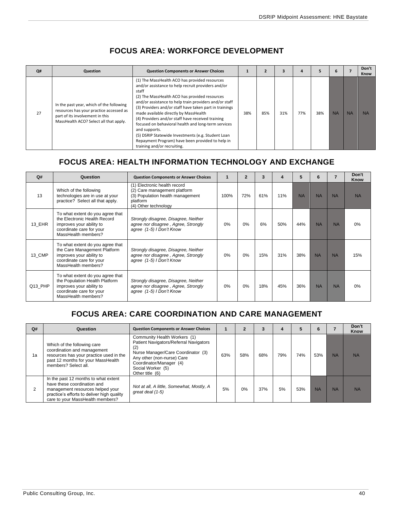<span id="page-40-0"></span>

| Q# | Question                                                                                                                                                         | <b>Question Components or Answer Choices</b>                                                                                                                                                                                                                                                                                                                                                                                                                                                                                                                                                      |     |     |     |     |     |           |           | Don't<br>Know |
|----|------------------------------------------------------------------------------------------------------------------------------------------------------------------|---------------------------------------------------------------------------------------------------------------------------------------------------------------------------------------------------------------------------------------------------------------------------------------------------------------------------------------------------------------------------------------------------------------------------------------------------------------------------------------------------------------------------------------------------------------------------------------------------|-----|-----|-----|-----|-----|-----------|-----------|---------------|
| 27 | In the past year, which of the following<br>resources has your practice accessed as<br>part of its involvement in this<br>MassHealth ACO? Select all that apply. | (1) The MassHealth ACO has provided resources<br>and/or assistance to help recruit providers and/or<br>staff<br>(2) The MassHealth ACO has provided resources<br>and/or assistance to help train providers and/or staff<br>(3) Providers and/or staff have taken part in trainings<br>made available directly by MassHealth<br>(4) Providers and/or staff have received training<br>focused on behavioral health and long-term services<br>and supports.<br>(5) DSRIP Statewide Investments (e.g. Student Loan<br>Repayment Program) have been provided to help in<br>training and/or recruiting. | 38% | 85% | 31% | 77% | 38% | <b>NA</b> | <b>NA</b> | <b>NA</b>     |

## **FOCUS AREA: WORKFORCE DEVELOPMENT**

## <span id="page-40-1"></span>**FOCUS AREA: HEALTH INFORMATION TECHNOLOGY AND EXCHANGE**

| Q#      | Question                                                                                                                                          | <b>Question Components or Answer Choices</b>                                                                                         | 1    | $\overline{2}$ | 3   |     | 5         | 6         |           | Don't<br>Know |
|---------|---------------------------------------------------------------------------------------------------------------------------------------------------|--------------------------------------------------------------------------------------------------------------------------------------|------|----------------|-----|-----|-----------|-----------|-----------|---------------|
| 13      | Which of the following<br>technologies are in use at your<br>practice? Select all that apply.                                                     | (1) Electronic health record<br>(2) Care management platform<br>(3) Population health management<br>platform<br>(4) Other technology | 100% | 72%            | 61% | 11% | <b>NA</b> | <b>NA</b> | <b>NA</b> | <b>NA</b>     |
| 13 EHR  | To what extent do you agree that<br>the Electronic Health Record<br>improves your ability to<br>coordinate care for your<br>MassHealth members?   | Strongly disagree, Disagree, Neither<br>agree nor disagree, Agree, Strongly<br>agree (1-5) I Don't Know                              | 0%   | 0%             | 6%  | 50% | 44%       | <b>NA</b> | <b>NA</b> | 0%            |
| 13 CMP  | To what extent do you agree that<br>the Care Management Platform<br>improves your ability to<br>coordinate care for your<br>MassHealth members?   | Strongly disagree, Disagree, Neither<br>agree nor disagree, Agree, Strongly<br>agree (1-5) I Don't Know                              | 0%   | 0%             | 15% | 31% | 38%       | <b>NA</b> | <b>NA</b> | 15%           |
| Q13 PHP | To what extent do you agree that<br>the Population Health Platform<br>improves your ability to<br>coordinate care for your<br>MassHealth members? | Strongly disagree, Disagree, Neither<br>agree nor disagree, Agree, Strongly<br>agree (1-5) I Don't Know                              | 0%   | 0%             | 18% | 45% | 36%       | <b>NA</b> | <b>NA</b> | 0%            |

## <span id="page-40-2"></span>**FOCUS AREA: CARE COORDINATION AND CARE MANAGEMENT**

| Q# | Question                                                                                                                                                                                  | <b>Question Components or Answer Choices</b>                                                                                                                                                                         |     |       |     | 4   |     | O         |           | Don't<br>Know |
|----|-------------------------------------------------------------------------------------------------------------------------------------------------------------------------------------------|----------------------------------------------------------------------------------------------------------------------------------------------------------------------------------------------------------------------|-----|-------|-----|-----|-----|-----------|-----------|---------------|
| 1a | Which of the following care<br>coordination and management<br>resources has your practice used in the<br>past 12 months for your MassHealth<br>members? Select all.                       | Community Health Workers (1)<br>Patient Navigators/Referral Navigators<br>(2)<br>Nurse Manager/Care Coordinator (3)<br>Any other (non-nurse) Care<br>Coordinator/Manager (4)<br>Social Worker (5)<br>Other title (6) | 63% | 58%   | 68% | 79% | 74% | 53%       | <b>NA</b> | <b>NA</b>     |
| 2  | In the past 12 months to what extent<br>have these coordination and<br>management resources helped your<br>practice's efforts to deliver high quality<br>care to your MassHealth members? | Not at all, A little, Somewhat, Mostly, A<br>great deal (1-5)                                                                                                                                                        | 5%  | $0\%$ | 37% | 5%  | 53% | <b>NA</b> | <b>NA</b> | <b>NA</b>     |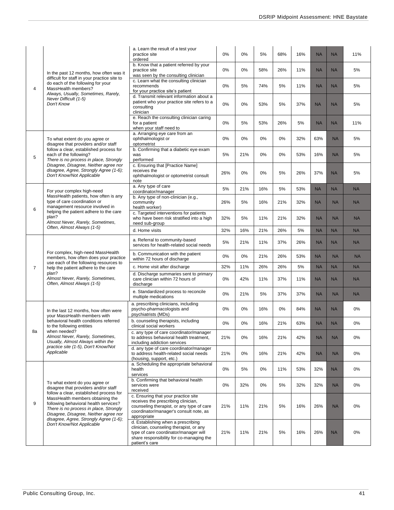|    |                                                                                                                                                                                                         | a. Learn the result of a test your<br>practice site<br>ordered                                                                                                                       | 0%    | 0%  | 5%  | 68% | 16% | <b>NA</b> | <b>NA</b> | 11%       |
|----|---------------------------------------------------------------------------------------------------------------------------------------------------------------------------------------------------------|--------------------------------------------------------------------------------------------------------------------------------------------------------------------------------------|-------|-----|-----|-----|-----|-----------|-----------|-----------|
|    | In the past 12 months, how often was it                                                                                                                                                                 | b. Know that a patient referred by your<br>practice site<br>was seen by the consulting clinician                                                                                     | 0%    | 0%  | 58% | 26% | 11% | <b>NA</b> | <b>NA</b> | 5%        |
| 4  | difficult for staff in your practice site to<br>do each of the following for your<br>MassHealth members?                                                                                                | c. Learn what the consulting clinician<br>recommends<br>for your practice site's patient                                                                                             | 0%    | 5%  | 74% | 5%  | 11% | <b>NA</b> | <b>NA</b> | 5%        |
|    | Always, Usually, Sometimes, Rarely,<br>Never Difficult (1-5)<br>Don't Know                                                                                                                              | d. Transmit relevant information about a<br>patient who your practice site refers to a<br>consulting<br>clinician                                                                    | 0%    | 0%  | 53% | 5%  | 37% | <b>NA</b> | <b>NA</b> | 5%        |
|    |                                                                                                                                                                                                         | e. Reach the consulting clinician caring<br>for a patient<br>when your staff need to                                                                                                 | 0%    | 5%  | 53% | 26% | 5%  | <b>NA</b> | <b>NA</b> | 11%       |
|    | To what extent do you agree or<br>disagree that providers and/or staff                                                                                                                                  | a. Arranging eye care from an<br>ophthalmologist or<br>optometrist                                                                                                                   | 0%    | 0%  | 0%  | 0%  | 32% | 63%       | <b>NA</b> | 5%        |
| 5  | follow a clear, established process for<br>each of the following?<br>There is no process in place, Strongly                                                                                             | b. Confirming that a diabetic eye exam<br>was<br>performed                                                                                                                           | 5%    | 21% | 0%  | 0%  | 53% | 16%       | <b>NA</b> | 5%        |
|    | Disagree, Disagree, Neither agree nor<br>disagree, Agree, Strongly Agree (1-6);<br>Don't Know/Not Applicable                                                                                            | c. Ensuring that [Practice Name]<br>receives the<br>ophthalmologist or optometrist consult<br>note                                                                                   | 26%   | 0%  | 0%  | 5%  | 26% | 37%       | <b>NA</b> | 5%        |
|    | For your complex high-need                                                                                                                                                                              | a. Any type of care<br>coordinator/manager                                                                                                                                           | 5%    | 21% | 16% | 5%  | 53% | <b>NA</b> | <b>NA</b> | <b>NA</b> |
| 6  | MassHealth patients, how often is any<br>type of care coordination or<br>management resource involved in                                                                                                | b. Any type of non-clinician (e.g.,<br>community<br>health worker)                                                                                                                   | 26%   | 5%  | 16% | 21% | 32% | <b>NA</b> | <b>NA</b> | <b>NA</b> |
|    | helping the patient adhere to the care<br>plan?<br>Almost Never, Rarely, Sometimes,                                                                                                                     | c. Targeted interventions for patients<br>who have been risk stratified into a high<br>need sub-group                                                                                | 32%   | 5%  | 11% | 21% | 32% | <b>NA</b> | <b>NA</b> | <b>NA</b> |
|    | Often, Almost Always (1-5)                                                                                                                                                                              | d. Home visits                                                                                                                                                                       | 32%   | 16% | 21% | 26% | 5%  | <b>NA</b> | <b>NA</b> | <b>NA</b> |
|    |                                                                                                                                                                                                         | a. Referral to community-based<br>services for health-related social needs                                                                                                           | 5%    | 21% | 11% | 37% | 26% | <b>NA</b> | <b>NA</b> | <b>NA</b> |
|    | For complex, high-need MassHealth<br>members, how often does your practice<br>use each of the following resources to                                                                                    | b. Communication with the patient<br>within 72 hours of discharge                                                                                                                    | 0%    | 0%  | 21% | 26% | 53% | <b>NA</b> | <b>NA</b> | <b>NA</b> |
| 7  | help the patient adhere to the care                                                                                                                                                                     | c. Home visit after discharge                                                                                                                                                        | 32%   | 11% | 26% | 26% | 5%  | <b>NA</b> | <b>NA</b> | <b>NA</b> |
|    | plan?<br>Almost Never, Rarely, Sometimes,<br>Often, Almost Always (1-5)                                                                                                                                 | d. Discharge summaries sent to primary<br>care clinician within 72 hours of<br>discharge                                                                                             | 0%    | 42% | 11% | 37% | 11% | <b>NA</b> | <b>NA</b> | <b>NA</b> |
|    |                                                                                                                                                                                                         | e. Standardized process to reconcile<br>multiple medications                                                                                                                         | 0%    | 21% | 5%  | 37% | 37% | <b>NA</b> | <b>NA</b> | <b>NA</b> |
|    | In the last 12 months, how often were<br>your MassHealth members with                                                                                                                                   | a. prescribing clinicians, including<br>psycho-pharmacologists and<br>psychiatrists (MDs)                                                                                            | 0%    | 0%  | 16% | 0%  | 84% | <b>NA</b> | <b>NA</b> | $0\%$     |
|    | behavioral health conditions referred<br>to the following entities                                                                                                                                      | b. counseling therapists, including<br>clinical social workers                                                                                                                       | 0%    | 0%  | 16% | 21% | 63% | <b>NA</b> | <b>NA</b> | 0%        |
| 8a | when needed?<br>Almost Never, Rarely, Sometimes,<br>Usually, Almost Always within the                                                                                                                   | c. any type of care coordinator/manager<br>to address behavioral health treatment,<br>including addiction services                                                                   | 21%   | 0%  | 16% | 21% | 42% | <b>NA</b> | <b>NA</b> | 0%        |
|    | practice site (1-5), Don't Know/Not<br>Applicable                                                                                                                                                       | d. any type of care coordinator/manager<br>to address health-related social needs<br>(housing, support, etc.)                                                                        | 21%   | 0%  | 16% | 21% | 42% | <b>NA</b> | <b>NA</b> | 0%        |
|    |                                                                                                                                                                                                         | a. Scheduling the appropriate behavioral<br>health<br>services                                                                                                                       | $0\%$ | 5%  | 0%  | 11% | 53% | 32%       | <b>NA</b> | 0%        |
|    | To what extent do you agree or<br>disagree that providers and/or staff                                                                                                                                  | b. Confirming that behavioral health<br>services were<br>received                                                                                                                    | 0%    | 32% | 0%  | 5%  | 32% | 32%       | <b>NA</b> | 0%        |
| 9  | follow a clear, established process for<br>MassHealth members obtaining the<br>following behavioral health services?<br>There is no process in place, Strongly<br>Disagree, Disagree, Neither agree nor | c. Ensuring that your practice site<br>receives the prescribing clinician,<br>counseling therapist, or any type of care<br>coordinator/manager's consult note, as<br>appropriate     | 21%   | 11% | 21% | 5%  | 16% | 26%       | <b>NA</b> | 0%        |
|    | disagree, Agree, Strongly Agree (1-6);<br>Don't Know/Not Applicable                                                                                                                                     | d. Establishing when a prescribing<br>clinician, counseling therapist, or any<br>type of care coordinator/manager will<br>share responsibility for co-managing the<br>patient's care | 21%   | 11% | 21% | 5%  | 16% | 26%       | <b>NA</b> | 0%        |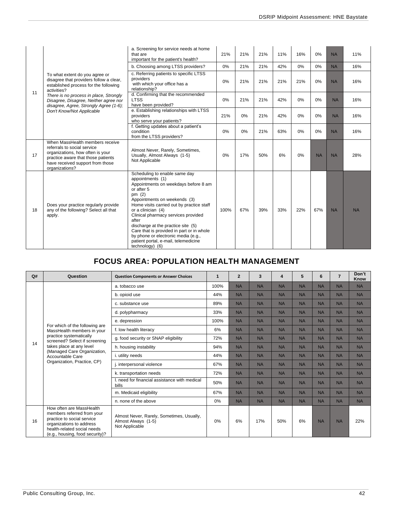|    |                                                                                                                                                                                                | a. Screening for service needs at home<br>that are<br>important for the patient's health?                                                                                                                                                                                                                                                                                                                                                                   | 21%  | 21% | 21% | 11% | 16% | 0%        | <b>NA</b> | 11%       |
|----|------------------------------------------------------------------------------------------------------------------------------------------------------------------------------------------------|-------------------------------------------------------------------------------------------------------------------------------------------------------------------------------------------------------------------------------------------------------------------------------------------------------------------------------------------------------------------------------------------------------------------------------------------------------------|------|-----|-----|-----|-----|-----------|-----------|-----------|
|    |                                                                                                                                                                                                | b. Choosing among LTSS providers?                                                                                                                                                                                                                                                                                                                                                                                                                           | 0%   | 21% | 21% | 42% | 0%  | 0%        | <b>NA</b> | 16%       |
|    | To what extent do you agree or<br>disagree that providers follow a clear,<br>established process for the following<br>activities?                                                              | c. Referring patients to specific LTSS<br>providers<br>with which your office has a<br>relationship?                                                                                                                                                                                                                                                                                                                                                        | 0%   | 21% | 21% | 21% | 21% | 0%        | <b>NA</b> | 16%       |
| 11 | There is no process in place, Strongly<br>Disagree, Disagree, Neither agree nor<br>disagree, Agree, Strongly Agree (1-6);                                                                      | d. Confirming that the recommended<br><b>LTSS</b><br>have been provided?                                                                                                                                                                                                                                                                                                                                                                                    | 0%   | 21% | 21% | 42% | 0%  | 0%        | <b>NA</b> | 16%       |
|    | Don't Know/Not Applicable                                                                                                                                                                      | e. Establishing relationships with LTSS<br>providers<br>who serve your patients?                                                                                                                                                                                                                                                                                                                                                                            | 21%  | 0%  | 21% | 42% | 0%  | 0%        | <b>NA</b> | 16%       |
|    |                                                                                                                                                                                                | f. Getting updates about a patient's<br>condition<br>from the LTSS providers?                                                                                                                                                                                                                                                                                                                                                                               | 0%   | 0%  | 21% | 63% | 0%  | 0%        | <b>NA</b> | 16%       |
| 17 | When MassHealth members receive<br>referrals to social service<br>organizations, how often is your<br>practice aware that those patients<br>have received support from those<br>organizations? | Almost Never, Rarely, Sometimes,<br>Usually, Almost Always (1-5)<br>Not Applicable                                                                                                                                                                                                                                                                                                                                                                          | 0%   | 17% | 50% | 6%  | 0%  | <b>NA</b> | <b>NA</b> | 28%       |
| 18 | Does your practice regularly provide<br>any of the following? Select all that<br>apply.                                                                                                        | Scheduling to enable same day<br>appointments (1)<br>Appointments on weekdays before 8 am<br>or after 5<br>pm $(2)$<br>Appointments on weekends (3)<br>Home visits carried out by practice staff<br>or a clinician (4)<br>Clinical pharmacy services provided<br>after<br>discharge at the practice site (5)<br>Care that is provided in part or in whole<br>by phone or electronic media (e.g.,<br>patient portal, e-mail, telemedicine<br>technology) (6) | 100% | 67% | 39% | 33% | 22% | 67%       | <b>NA</b> | <b>NA</b> |

## **FOCUS AREA: POPULATION HEALTH MANAGEMENT**

<span id="page-42-0"></span>

| Q# | Question                                                                                                                                                                           | <b>Question Components or Answer Choices</b>                                       | 1    | $\mathbf{2}$ | 3         | 4         | 5         | 6         | $\overline{7}$ | Don't<br>Know |
|----|------------------------------------------------------------------------------------------------------------------------------------------------------------------------------------|------------------------------------------------------------------------------------|------|--------------|-----------|-----------|-----------|-----------|----------------|---------------|
|    |                                                                                                                                                                                    | a. tobacco use                                                                     | 100% | <b>NA</b>    | <b>NA</b> | <b>NA</b> | <b>NA</b> | <b>NA</b> | <b>NA</b>      | <b>NA</b>     |
|    |                                                                                                                                                                                    | b. opioid use                                                                      | 44%  | <b>NA</b>    | <b>NA</b> | <b>NA</b> | <b>NA</b> | <b>NA</b> | <b>NA</b>      | <b>NA</b>     |
|    |                                                                                                                                                                                    | c. substance use                                                                   | 89%  | <b>NA</b>    | <b>NA</b> | <b>NA</b> | <b>NA</b> | <b>NA</b> | <b>NA</b>      | <b>NA</b>     |
|    |                                                                                                                                                                                    | d. polypharmacy                                                                    | 33%  | <b>NA</b>    | <b>NA</b> | <b>NA</b> | <b>NA</b> | <b>NA</b> | <b>NA</b>      | <b>NA</b>     |
|    |                                                                                                                                                                                    | e. depression                                                                      | 100% | <b>NA</b>    | <b>NA</b> | <b>NA</b> | <b>NA</b> | <b>NA</b> | <b>NA</b>      | <b>NA</b>     |
|    | For which of the following are<br>MassHealth members in your                                                                                                                       | f. low health literacy                                                             | 6%   | <b>NA</b>    | <b>NA</b> | <b>NA</b> | <b>NA</b> | <b>NA</b> | <b>NA</b>      | <b>NA</b>     |
|    | practice systematically<br>screened? Select if screening                                                                                                                           | g. food security or SNAP eligibility                                               | 72%  | <b>NA</b>    | <b>NA</b> | <b>NA</b> | <b>NA</b> | <b>NA</b> | <b>NA</b>      | <b>NA</b>     |
| 14 | takes place at any level<br>(Managed Care Organization,<br>Accountable Care                                                                                                        | h. housing instability                                                             | 94%  | <b>NA</b>    | <b>NA</b> | <b>NA</b> | <b>NA</b> | <b>NA</b> | <b>NA</b>      | <b>NA</b>     |
|    |                                                                                                                                                                                    | i. utility needs                                                                   | 44%  | <b>NA</b>    | <b>NA</b> | <b>NA</b> | <b>NA</b> | <b>NA</b> | <b>NA</b>      | <b>NA</b>     |
|    | Organization, Practice, CP)                                                                                                                                                        | j. interpersonal violence                                                          | 67%  | <b>NA</b>    | <b>NA</b> | <b>NA</b> | <b>NA</b> | <b>NA</b> | <b>NA</b>      | <b>NA</b>     |
|    |                                                                                                                                                                                    | k. transportation needs                                                            | 72%  | <b>NA</b>    | <b>NA</b> | <b>NA</b> | <b>NA</b> | <b>NA</b> | <b>NA</b>      | <b>NA</b>     |
|    |                                                                                                                                                                                    | I. need for financial assistance with medical<br>bills                             | 50%  | <b>NA</b>    | <b>NA</b> | <b>NA</b> | <b>NA</b> | <b>NA</b> | <b>NA</b>      | <b>NA</b>     |
|    |                                                                                                                                                                                    | m. Medicaid eligibility                                                            | 67%  | <b>NA</b>    | <b>NA</b> | <b>NA</b> | <b>NA</b> | <b>NA</b> | <b>NA</b>      | <b>NA</b>     |
|    |                                                                                                                                                                                    | n. none of the above                                                               | 0%   | <b>NA</b>    | <b>NA</b> | <b>NA</b> | <b>NA</b> | <b>NA</b> | <b>NA</b>      | <b>NA</b>     |
| 16 | How often are MassHealth<br>members referred from your<br>practice to social service<br>organizations to address<br>health-related social needs<br>(e.g., housing, food security)? | Almost Never, Rarely, Sometimes, Usually,<br>Almost Always (1-5)<br>Not Applicable | 0%   | 6%           | 17%       | 50%       | 6%        | <b>NA</b> | <b>NA</b>      | 22%           |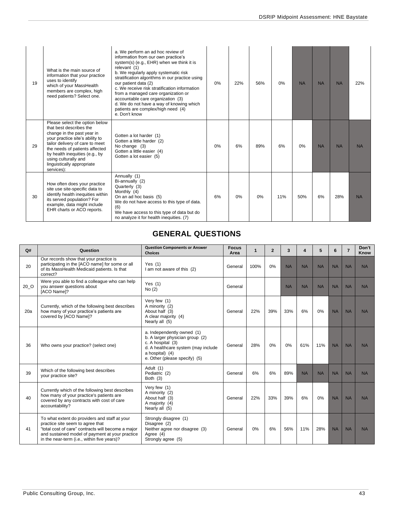| 19 | What is the main source of<br>information that your practice<br>uses to identify<br>which of your MassHealth<br>members are complex, high<br>need patients? Select one.                                                                                                                               | a. We perform an ad hoc review of<br>information from our own practice's<br>system(s) (e.g., EHR) when we think it is<br>relevant (1)<br>b. We regularly apply systematic risk<br>stratification algorithms in our practice using<br>our patient data (2)<br>c. We receive risk stratification information<br>from a managed care organization or<br>accountable care organization (3)<br>d. We do not have a way of knowing which<br>patients are complex/high need (4)<br>e. Don't know | 0% | 22% | 56% | 0%  | <b>NA</b> | <b>NA</b> | <b>NA</b> | 22%       |
|----|-------------------------------------------------------------------------------------------------------------------------------------------------------------------------------------------------------------------------------------------------------------------------------------------------------|-------------------------------------------------------------------------------------------------------------------------------------------------------------------------------------------------------------------------------------------------------------------------------------------------------------------------------------------------------------------------------------------------------------------------------------------------------------------------------------------|----|-----|-----|-----|-----------|-----------|-----------|-----------|
| 29 | Please select the option below<br>that best describes the<br>change in the past year in<br>your practice site's ability to<br>tailor delivery of care to meet<br>the needs of patients affected<br>by health inequities (e.g., by<br>using culturally and<br>linguistically appropriate<br>services): | Gotten a lot harder (1)<br>Gotten a little harder (2)<br>No change (3)<br>Gotten a little easier (4)<br>Gotten a lot easier (5)                                                                                                                                                                                                                                                                                                                                                           | 0% | 6%  | 89% | 6%  | 0%        | <b>NA</b> | <b>NA</b> | <b>NA</b> |
| 30 | How often does your practice<br>site use site-specific data to<br>identify health inequities within<br>its served population? For<br>example, data might include<br>EHR charts or ACO reports.                                                                                                        | Annually (1)<br>Bi-annually (2)<br>Quarterly (3)<br>Monthly (4)<br>On an ad hoc basis (5)<br>We do not have access to this type of data.<br>(6)<br>We have access to this type of data but do<br>no analyze it for health inequities. (7)                                                                                                                                                                                                                                                 | 6% | 0%  | 0%  | 11% | 50%       | 6%        | 28%       | <b>NA</b> |

## **GENERAL QUESTIONS**

<span id="page-43-0"></span>

| Q#   | Question                                                                                                                                                                                                                                  | <b>Question Components or Answer</b><br><b>Choices</b>                                                                                                                        | <b>Focus</b><br>Area | $\mathbf{1}$ | $\overline{2}$ | 3         | 4         | 5         | 6         | $\overline{7}$ | Don't<br>Know |
|------|-------------------------------------------------------------------------------------------------------------------------------------------------------------------------------------------------------------------------------------------|-------------------------------------------------------------------------------------------------------------------------------------------------------------------------------|----------------------|--------------|----------------|-----------|-----------|-----------|-----------|----------------|---------------|
| 20   | Our records show that your practice is<br>participating in the [ACO name] for some or all<br>of its MassHealth Medicaid patients. Is that<br>correct?                                                                                     | Yes $(1)$<br>I am not aware of this (2)                                                                                                                                       | General              | 100%         | 0%             | <b>NA</b> | <b>NA</b> | <b>NA</b> | <b>NA</b> | <b>NA</b>      | <b>NA</b>     |
| 20 O | Were you able to find a colleague who can help<br>you answer questions about<br>[ACO Name]?                                                                                                                                               | Yes $(1)$<br>No(2)                                                                                                                                                            | General              |              |                | <b>NA</b> | <b>NA</b> | <b>NA</b> | <b>NA</b> | <b>NA</b>      | <b>NA</b>     |
| 20a  | Very few (1)<br>Currently, which of the following best describes<br>A minority (2)<br>how many of your practice's patients are<br>22%<br>About half (3)<br>General<br>covered by [ACO Name]?<br>A clear majority (4)<br>Nearly all (5)    |                                                                                                                                                                               | 39%                  | 33%          | 6%             | 0%        | <b>NA</b> | <b>NA</b> | <b>NA</b> |                |               |
| 36   | Who owns your practice? (select one)                                                                                                                                                                                                      | a. Independently owned (1)<br>b. A larger physician group (2)<br>c. A hospital (3)<br>d. A healthcare system (may include<br>a hospital) (4)<br>e. Other (please specify) (5) | General              | 28%          | 0%             | 0%        | 61%       | 11%       | <b>NA</b> | <b>NA</b>      | <b>NA</b>     |
| 39   | Adult (1)<br>Which of the following best describes<br>Pediatric (2)<br>your practice site?<br>Both $(3)$                                                                                                                                  |                                                                                                                                                                               | General              | 6%           | 6%             | 89%       | <b>NA</b> | <b>NA</b> | <b>NA</b> | <b>NA</b>      | <b>NA</b>     |
| 40   | Currently which of the following best describes<br>how many of your practice's patients are<br>covered by any contracts with cost of care<br>accountability?                                                                              | Very few (1)<br>A minority (2)<br>About half (3)<br>A majority (4)<br>Nearly all (5)                                                                                          | General              | 22%          | 33%            | 39%       | 6%        | 0%        | <b>NA</b> | <b>NA</b>      | <b>NA</b>     |
| 41   | To what extent do providers and staff at your<br>practice site seem to agree that<br>"total cost of care" contracts will become a major<br>and sustained model of payment at your practice<br>in the near-term (i.e., within five years)? | Strongly disagree (1)<br>Disagree (2)<br>Neither agree nor disagree (3)<br>Agree (4)<br>Strongly agree (5)                                                                    | General              | $0\%$        | 6%             | 56%       | 11%       | 28%       | <b>NA</b> | <b>NA</b>      | <b>NA</b>     |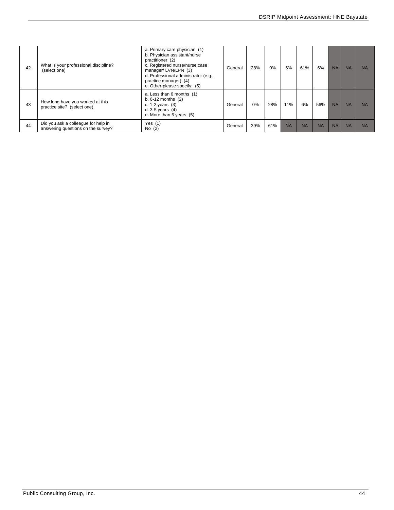| 42 | What is your professional discipline?<br>(select one)                     | a. Primary care physician (1)<br>b. Physician assistant/nurse<br>practitioner (2)<br>c. Registered nurse/nurse case<br>manager/LVN/LPN (3)<br>d. Professional administrator (e.g.,<br>practice manager) (4)<br>e. Other-please specify: (5) | General | 28% | $0\%$ | 6%        | 61%       | 6%        | <b>NA</b> | <b>NA</b> | <b>NA</b> |
|----|---------------------------------------------------------------------------|---------------------------------------------------------------------------------------------------------------------------------------------------------------------------------------------------------------------------------------------|---------|-----|-------|-----------|-----------|-----------|-----------|-----------|-----------|
| 43 | How long have you worked at this<br>practice site? (select one)           | a. Less than 6 months (1)<br>b. $6-12$ months $(2)$<br>c. $1-2$ years $(3)$<br>d. $3-5$ years $(4)$<br>e. More than 5 years (5)                                                                                                             | General | 0%  | 28%   | 11%       | 6%        | 56%       | <b>NA</b> | <b>NA</b> | <b>NA</b> |
| 44 | Did you ask a colleague for help in<br>answering questions on the survey? | Yes $(1)$<br>No $(2)$                                                                                                                                                                                                                       | General | 39% | 61%   | <b>NA</b> | <b>NA</b> | <b>NA</b> | <b>NA</b> | <b>NA</b> | <b>NA</b> |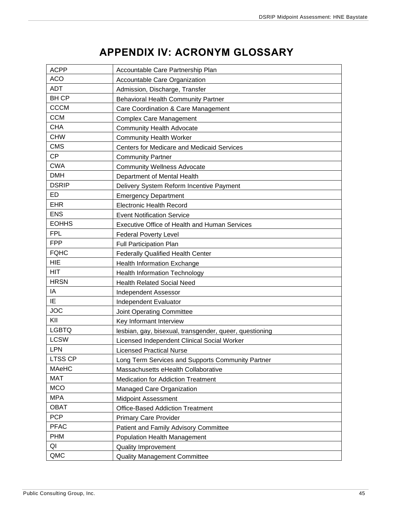## **APPENDIX IV: ACRONYM GLOSSARY**

<span id="page-45-0"></span>

| <b>ACPP</b>    | Accountable Care Partnership Plan                       |
|----------------|---------------------------------------------------------|
| <b>ACO</b>     | Accountable Care Organization                           |
| <b>ADT</b>     | Admission, Discharge, Transfer                          |
| <b>BHCP</b>    | <b>Behavioral Health Community Partner</b>              |
| <b>CCCM</b>    | Care Coordination & Care Management                     |
| <b>CCM</b>     | <b>Complex Care Management</b>                          |
| <b>CHA</b>     | <b>Community Health Advocate</b>                        |
| <b>CHW</b>     | <b>Community Health Worker</b>                          |
| <b>CMS</b>     | Centers for Medicare and Medicaid Services              |
| <b>CP</b>      | <b>Community Partner</b>                                |
| <b>CWA</b>     | <b>Community Wellness Advocate</b>                      |
| <b>DMH</b>     | Department of Mental Health                             |
| <b>DSRIP</b>   | Delivery System Reform Incentive Payment                |
| <b>ED</b>      | <b>Emergency Department</b>                             |
| <b>EHR</b>     | <b>Electronic Health Record</b>                         |
| <b>ENS</b>     | <b>Event Notification Service</b>                       |
| <b>EOHHS</b>   | <b>Executive Office of Health and Human Services</b>    |
| <b>FPL</b>     | <b>Federal Poverty Level</b>                            |
| <b>FPP</b>     | <b>Full Participation Plan</b>                          |
| <b>FQHC</b>    | <b>Federally Qualified Health Center</b>                |
| <b>HIE</b>     | <b>Health Information Exchange</b>                      |
| <b>HIT</b>     | <b>Health Information Technology</b>                    |
| <b>HRSN</b>    | <b>Health Related Social Need</b>                       |
| IA             | <b>Independent Assessor</b>                             |
| IE             | Independent Evaluator                                   |
| <b>JOC</b>     | Joint Operating Committee                               |
| KII            | Key Informant Interview                                 |
| <b>LGBTQ</b>   | lesbian, gay, bisexual, transgender, queer, questioning |
| <b>LCSW</b>    | Licensed Independent Clinical Social Worker             |
| <b>LPN</b>     | <b>Licensed Practical Nurse</b>                         |
| <b>LTSS CP</b> | Long Term Services and Supports Community Partner       |
| <b>MAeHC</b>   | Massachusetts eHealth Collaborative                     |
| <b>MAT</b>     | <b>Medication for Addiction Treatment</b>               |
| <b>MCO</b>     | Managed Care Organization                               |
| <b>MPA</b>     | <b>Midpoint Assessment</b>                              |
| <b>OBAT</b>    | <b>Office-Based Addiction Treatment</b>                 |
| <b>PCP</b>     | <b>Primary Care Provider</b>                            |
| <b>PFAC</b>    | Patient and Family Advisory Committee                   |
| <b>PHM</b>     | Population Health Management                            |
| QI             | <b>Quality Improvement</b>                              |
| QMC            | <b>Quality Management Committee</b>                     |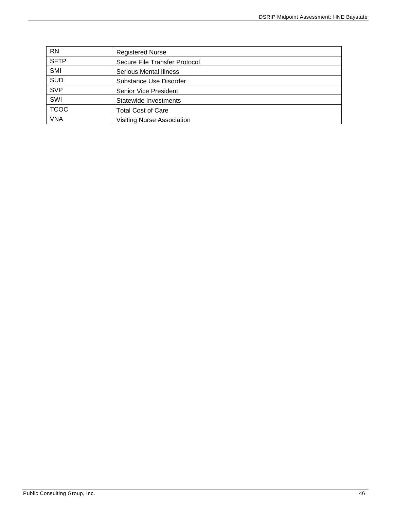| <b>RN</b>   | <b>Registered Nurse</b>           |
|-------------|-----------------------------------|
| <b>SFTP</b> | Secure File Transfer Protocol     |
| SMI         | <b>Serious Mental Illness</b>     |
| <b>SUD</b>  | Substance Use Disorder            |
| <b>SVP</b>  | Senior Vice President             |
| SWI         | Statewide Investments             |
| <b>TCOC</b> | <b>Total Cost of Care</b>         |
| <b>VNA</b>  | <b>Visiting Nurse Association</b> |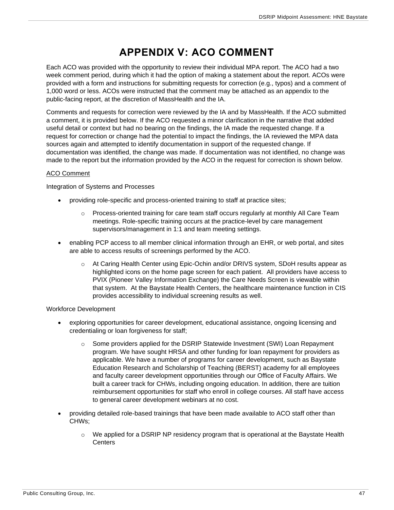## **APPENDIX V: ACO COMMENT**

<span id="page-47-0"></span>Each ACO was provided with the opportunity to review their individual MPA report. The ACO had a two week comment period, during which it had the option of making a statement about the report. ACOs were provided with a form and instructions for submitting requests for correction (e.g., typos) and a comment of 1,000 word or less. ACOs were instructed that the comment may be attached as an appendix to the public-facing report, at the discretion of MassHealth and the IA.

Comments and requests for correction were reviewed by the IA and by MassHealth. If the ACO submitted a comment, it is provided below. If the ACO requested a minor clarification in the narrative that added useful detail or context but had no bearing on the findings, the IA made the requested change. If a request for correction or change had the potential to impact the findings, the IA reviewed the MPA data sources again and attempted to identify documentation in support of the requested change. If documentation was identified, the change was made. If documentation was not identified, no change was made to the report but the information provided by the ACO in the request for correction is shown below.

#### ACO Comment

Integration of Systems and Processes

- providing role-specific and process-oriented training to staff at practice sites;
	- o Process-oriented training for care team staff occurs regularly at monthly All Care Team meetings. Role-specific training occurs at the practice-level by care management supervisors/management in 1:1 and team meeting settings.
- enabling PCP access to all member clinical information through an EHR, or web portal, and sites are able to access results of screenings performed by the ACO.
	- o At Caring Health Center using Epic-Ochin and/or DRIVS system, SDoH results appear as highlighted icons on the home page screen for each patient. All providers have access to PVIX (Pioneer Valley Information Exchange) the Care Needs Screen is viewable within that system. At the Baystate Health Centers, the healthcare maintenance function in CIS provides accessibility to individual screening results as well.

Workforce Development

- exploring opportunities for career development, educational assistance, ongoing licensing and credentialing or loan forgiveness for staff;
	- o Some providers applied for the DSRIP Statewide Investment (SWI) Loan Repayment program. We have sought HRSA and other funding for loan repayment for providers as applicable. We have a number of programs for career development, such as Baystate Education Research and Scholarship of Teaching (BERST) academy for all employees and faculty career development opportunities through our Office of Faculty Affairs. We built a career track for CHWs, including ongoing education. In addition, there are tuition reimbursement opportunities for staff who enroll in college courses. All staff have access to general career development webinars at no cost.
- providing detailed role-based trainings that have been made available to ACO staff other than CHWs;
	- $\circ$  We applied for a DSRIP NP residency program that is operational at the Baystate Health **Centers**